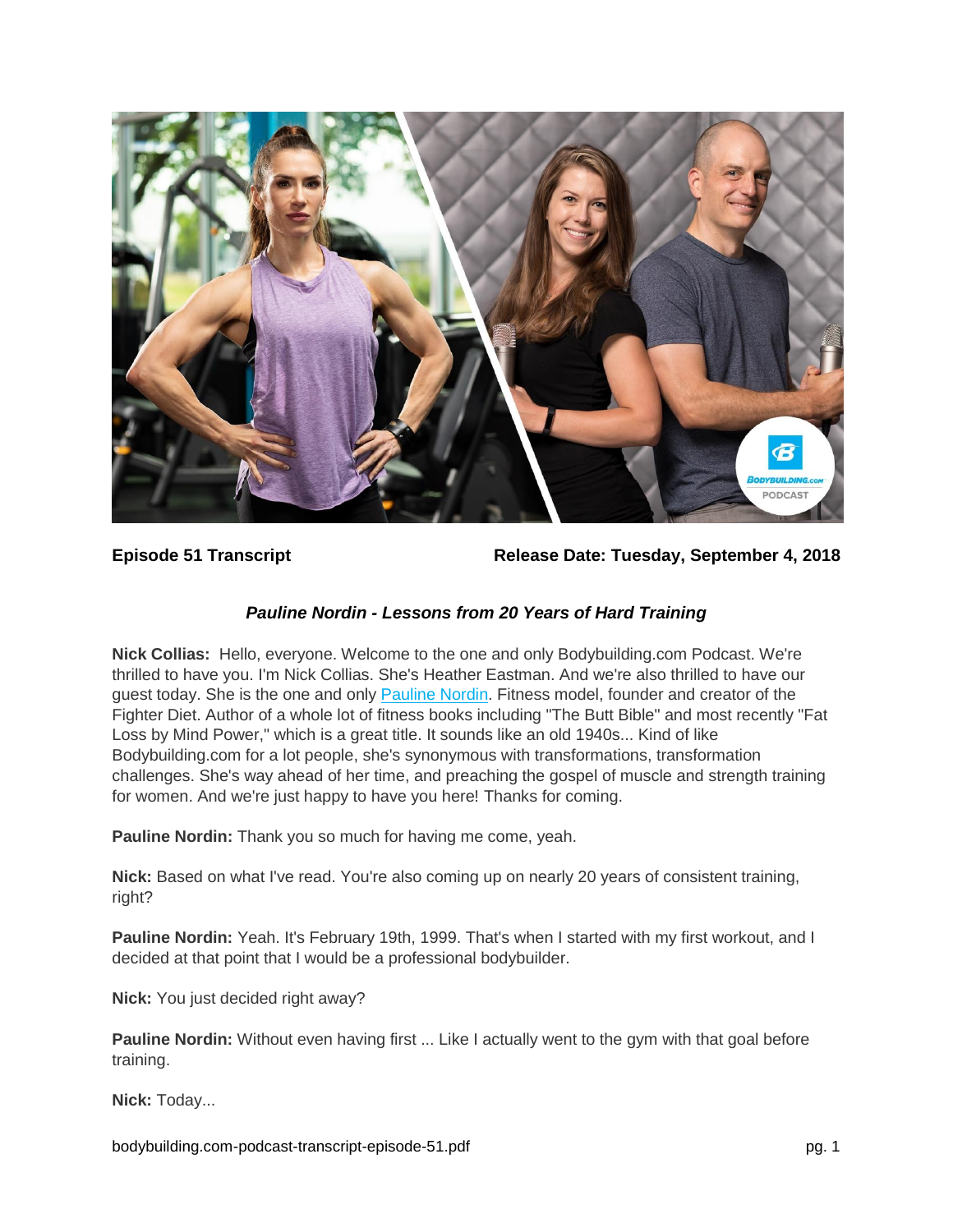

**Episode 51 Transcript Release Date: Tuesday, September 4, 2018**

# *Pauline Nordin - Lessons from 20 Years of Hard Training*

**Nick Collias:** Hello, everyone. Welcome to the one and only Bodybuilding.com Podcast. We're thrilled to have you. I'm Nick Collias. She's Heather Eastman. And we're also thrilled to have our guest today. She is the one and only [Pauline Nordin.](https://www.bodybuilding.com/author/pauline-nordin) Fitness model, founder and creator of the Fighter Diet. Author of a whole lot of fitness books including "The Butt Bible" and most recently "Fat Loss by Mind Power," which is a great title. It sounds like an old 1940s... Kind of like Bodybuilding.com for a lot people, she's synonymous with transformations, transformation challenges. She's way ahead of her time, and preaching the gospel of muscle and strength training for women. And we're just happy to have you here! Thanks for coming.

**Pauline Nordin:** Thank you so much for having me come, yeah.

**Nick:** Based on what I've read. You're also coming up on nearly 20 years of consistent training, right?

**Pauline Nordin:** Yeah. It's February 19th, 1999. That's when I started with my first workout, and I decided at that point that I would be a professional bodybuilder.

**Nick:** You just decided right away?

**Pauline Nordin:** Without even having first ... Like I actually went to the gym with that goal before training.

**Nick:** Today...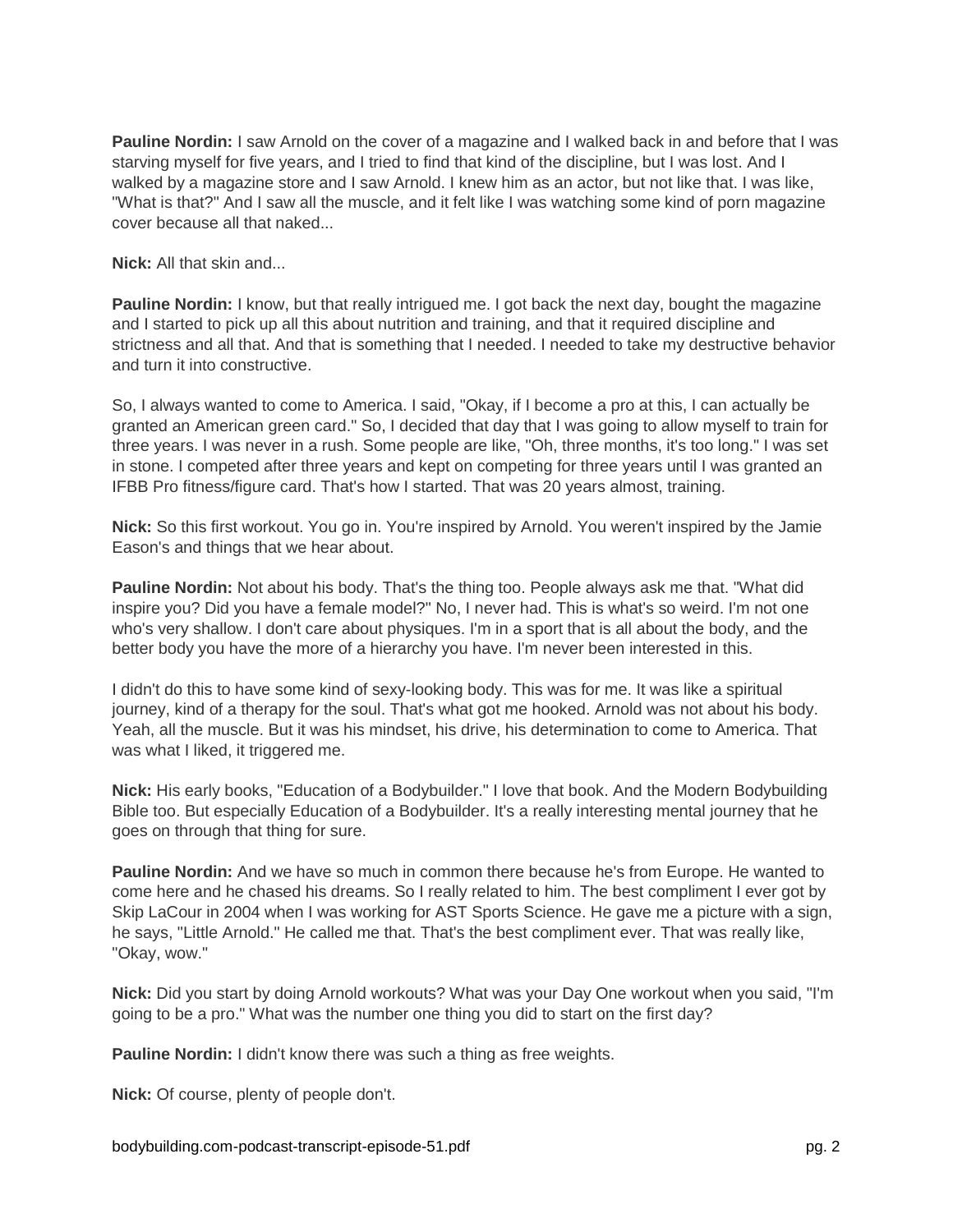**Pauline Nordin:** I saw Arnold on the cover of a magazine and I walked back in and before that I was starving myself for five years, and I tried to find that kind of the discipline, but I was lost. And I walked by a magazine store and I saw Arnold. I knew him as an actor, but not like that. I was like, "What is that?" And I saw all the muscle, and it felt like I was watching some kind of porn magazine cover because all that naked...

**Nick:** All that skin and...

**Pauline Nordin:** I know, but that really intrigued me. I got back the next day, bought the magazine and I started to pick up all this about nutrition and training, and that it required discipline and strictness and all that. And that is something that I needed. I needed to take my destructive behavior and turn it into constructive.

So, I always wanted to come to America. I said, "Okay, if I become a pro at this, I can actually be granted an American green card." So, I decided that day that I was going to allow myself to train for three years. I was never in a rush. Some people are like, "Oh, three months, it's too long." I was set in stone. I competed after three years and kept on competing for three years until I was granted an IFBB Pro fitness/figure card. That's how I started. That was 20 years almost, training.

**Nick:** So this first workout. You go in. You're inspired by Arnold. You weren't inspired by the Jamie Eason's and things that we hear about.

**Pauline Nordin:** Not about his body. That's the thing too. People always ask me that. "What did inspire you? Did you have a female model?" No, I never had. This is what's so weird. I'm not one who's very shallow. I don't care about physiques. I'm in a sport that is all about the body, and the better body you have the more of a hierarchy you have. I'm never been interested in this.

I didn't do this to have some kind of sexy-looking body. This was for me. It was like a spiritual journey, kind of a therapy for the soul. That's what got me hooked. Arnold was not about his body. Yeah, all the muscle. But it was his mindset, his drive, his determination to come to America. That was what I liked, it triggered me.

**Nick:** His early books, "Education of a Bodybuilder." I love that book. And the Modern Bodybuilding Bible too. But especially Education of a Bodybuilder. It's a really interesting mental journey that he goes on through that thing for sure.

**Pauline Nordin:** And we have so much in common there because he's from Europe. He wanted to come here and he chased his dreams. So I really related to him. The best compliment I ever got by Skip LaCour in 2004 when I was working for AST Sports Science. He gave me a picture with a sign, he says, "Little Arnold." He called me that. That's the best compliment ever. That was really like, "Okay, wow."

**Nick:** Did you start by doing Arnold workouts? What was your Day One workout when you said, "I'm going to be a pro." What was the number one thing you did to start on the first day?

**Pauline Nordin:** I didn't know there was such a thing as free weights.

**Nick:** Of course, plenty of people don't.

bodybuilding.com-podcast-transcript-episode-51.pdf pg. 2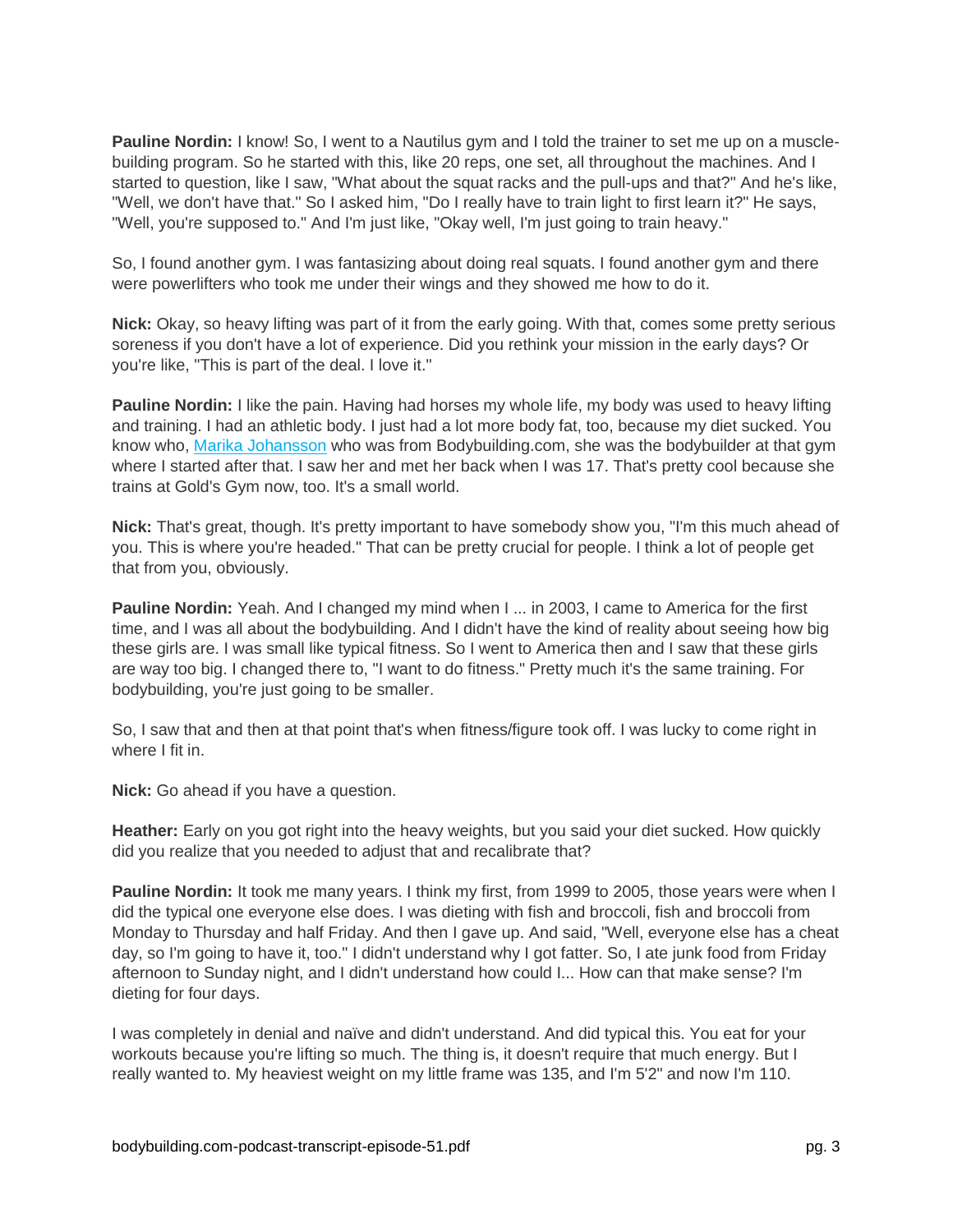**Pauline Nordin:** I know! So, I went to a Nautilus gym and I told the trainer to set me up on a musclebuilding program. So he started with this, like 20 reps, one set, all throughout the machines. And I started to question, like I saw, "What about the squat racks and the pull-ups and that?" And he's like, "Well, we don't have that." So I asked him, "Do I really have to train light to first learn it?" He says, "Well, you're supposed to." And I'm just like, "Okay well, I'm just going to train heavy."

So, I found another gym. I was fantasizing about doing real squats. I found another gym and there were powerlifters who took me under their wings and they showed me how to do it.

**Nick:** Okay, so heavy lifting was part of it from the early going. With that, comes some pretty serious soreness if you don't have a lot of experience. Did you rethink your mission in the early days? Or you're like, "This is part of the deal. I love it."

**Pauline Nordin:** I like the pain. Having had horses my whole life, my body was used to heavy lifting and training. I had an athletic body. I just had a lot more body fat, too, because my diet sucked. You know who, [Marika Johansson](https://www.bodybuilding.com/author/marika-johansson) who was from Bodybuilding.com, she was the bodybuilder at that gym where I started after that. I saw her and met her back when I was 17. That's pretty cool because she trains at Gold's Gym now, too. It's a small world.

**Nick:** That's great, though. It's pretty important to have somebody show you, "I'm this much ahead of you. This is where you're headed." That can be pretty crucial for people. I think a lot of people get that from you, obviously.

**Pauline Nordin:** Yeah. And I changed my mind when I ... in 2003, I came to America for the first time, and I was all about the bodybuilding. And I didn't have the kind of reality about seeing how big these girls are. I was small like typical fitness. So I went to America then and I saw that these girls are way too big. I changed there to, "I want to do fitness." Pretty much it's the same training. For bodybuilding, you're just going to be smaller.

So, I saw that and then at that point that's when fitness/figure took off. I was lucky to come right in where I fit in.

**Nick:** Go ahead if you have a question.

**Heather:** Early on you got right into the heavy weights, but you said your diet sucked. How quickly did you realize that you needed to adjust that and recalibrate that?

**Pauline Nordin:** It took me many years. I think my first, from 1999 to 2005, those years were when I did the typical one everyone else does. I was dieting with fish and broccoli, fish and broccoli from Monday to Thursday and half Friday. And then I gave up. And said, "Well, everyone else has a cheat day, so I'm going to have it, too." I didn't understand why I got fatter. So, I ate junk food from Friday afternoon to Sunday night, and I didn't understand how could I... How can that make sense? I'm dieting for four days.

I was completely in denial and naïve and didn't understand. And did typical this. You eat for your workouts because you're lifting so much. The thing is, it doesn't require that much energy. But I really wanted to. My heaviest weight on my little frame was 135, and I'm 5'2" and now I'm 110.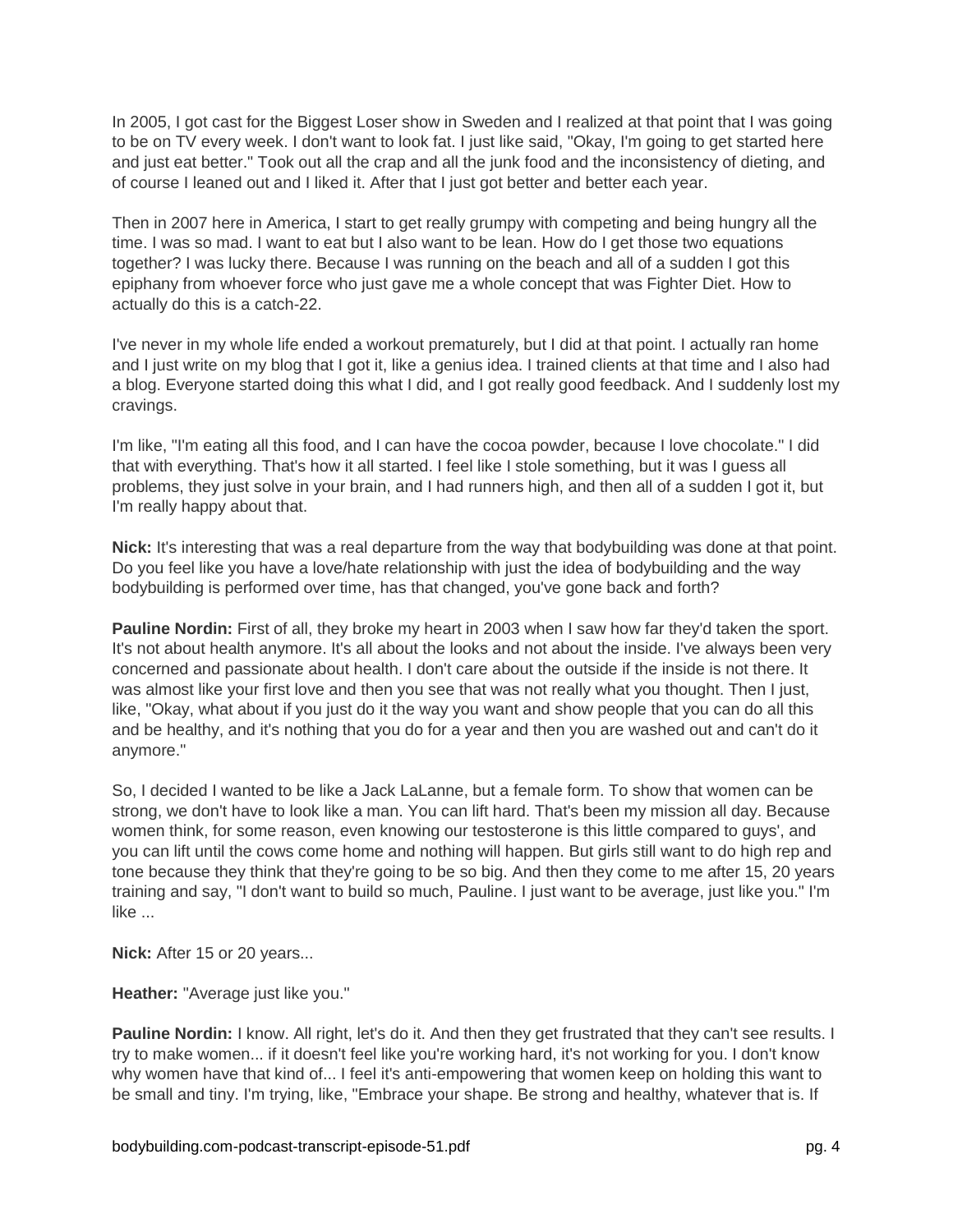In 2005, I got cast for the Biggest Loser show in Sweden and I realized at that point that I was going to be on TV every week. I don't want to look fat. I just like said, "Okay, I'm going to get started here and just eat better." Took out all the crap and all the junk food and the inconsistency of dieting, and of course I leaned out and I liked it. After that I just got better and better each year.

Then in 2007 here in America, I start to get really grumpy with competing and being hungry all the time. I was so mad. I want to eat but I also want to be lean. How do I get those two equations together? I was lucky there. Because I was running on the beach and all of a sudden I got this epiphany from whoever force who just gave me a whole concept that was Fighter Diet. How to actually do this is a catch-22.

I've never in my whole life ended a workout prematurely, but I did at that point. I actually ran home and I just write on my blog that I got it, like a genius idea. I trained clients at that time and I also had a blog. Everyone started doing this what I did, and I got really good feedback. And I suddenly lost my cravings.

I'm like, "I'm eating all this food, and I can have the cocoa powder, because I love chocolate." I did that with everything. That's how it all started. I feel like I stole something, but it was I guess all problems, they just solve in your brain, and I had runners high, and then all of a sudden I got it, but I'm really happy about that.

**Nick:** It's interesting that was a real departure from the way that bodybuilding was done at that point. Do you feel like you have a love/hate relationship with just the idea of bodybuilding and the way bodybuilding is performed over time, has that changed, you've gone back and forth?

**Pauline Nordin:** First of all, they broke my heart in 2003 when I saw how far they'd taken the sport. It's not about health anymore. It's all about the looks and not about the inside. I've always been very concerned and passionate about health. I don't care about the outside if the inside is not there. It was almost like your first love and then you see that was not really what you thought. Then I just, like, "Okay, what about if you just do it the way you want and show people that you can do all this and be healthy, and it's nothing that you do for a year and then you are washed out and can't do it anymore."

So, I decided I wanted to be like a Jack LaLanne, but a female form. To show that women can be strong, we don't have to look like a man. You can lift hard. That's been my mission all day. Because women think, for some reason, even knowing our testosterone is this little compared to guys', and you can lift until the cows come home and nothing will happen. But girls still want to do high rep and tone because they think that they're going to be so big. And then they come to me after 15, 20 years training and say, "I don't want to build so much, Pauline. I just want to be average, just like you." I'm like ...

**Nick:** After 15 or 20 years...

**Heather:** "Average just like you."

**Pauline Nordin:** I know. All right, let's do it. And then they get frustrated that they can't see results. I try to make women... if it doesn't feel like you're working hard, it's not working for you. I don't know why women have that kind of... I feel it's anti-empowering that women keep on holding this want to be small and tiny. I'm trying, like, "Embrace your shape. Be strong and healthy, whatever that is. If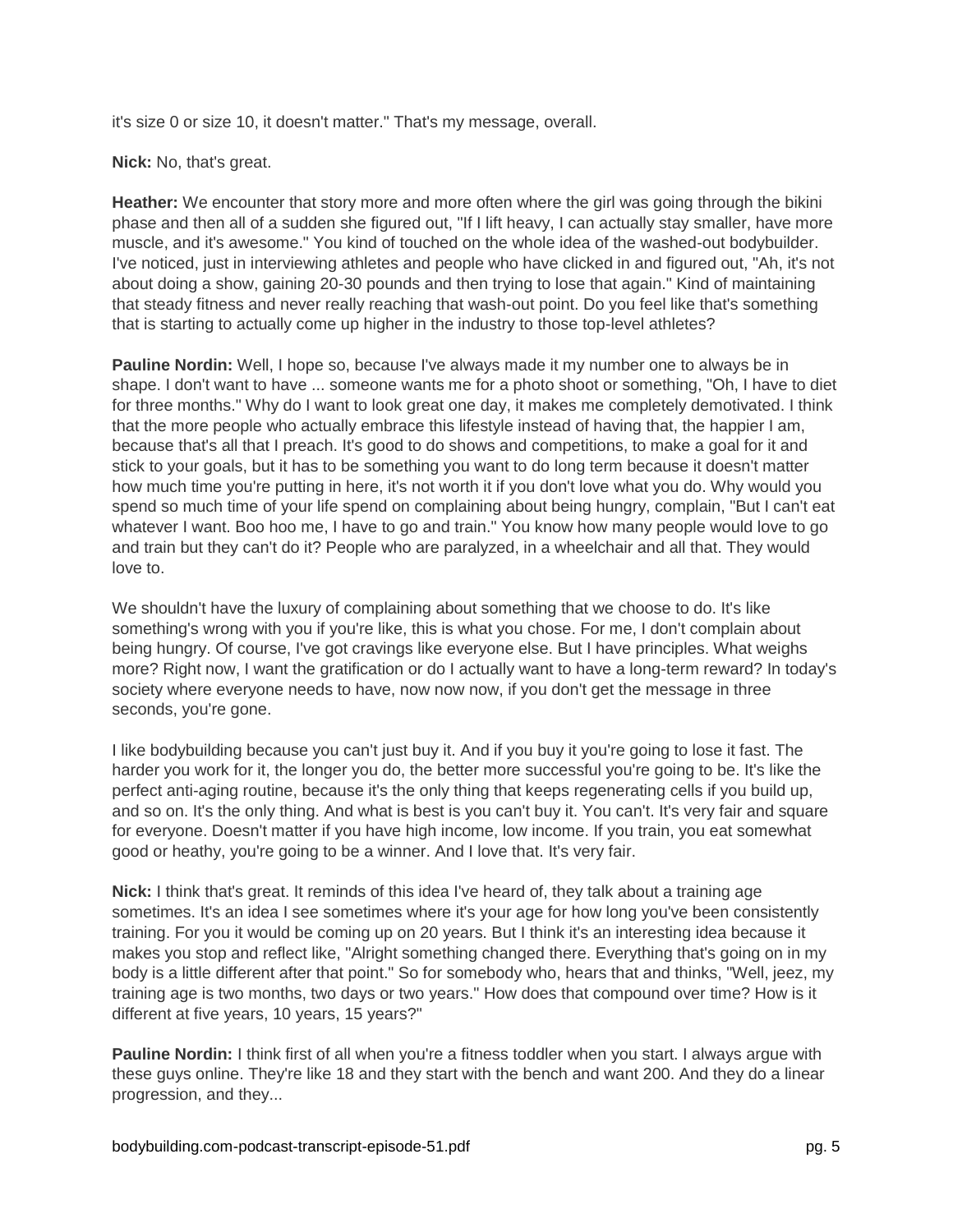it's size 0 or size 10, it doesn't matter." That's my message, overall.

**Nick:** No, that's great.

**Heather:** We encounter that story more and more often where the girl was going through the bikini phase and then all of a sudden she figured out, "If I lift heavy, I can actually stay smaller, have more muscle, and it's awesome." You kind of touched on the whole idea of the washed-out bodybuilder. I've noticed, just in interviewing athletes and people who have clicked in and figured out, "Ah, it's not about doing a show, gaining 20-30 pounds and then trying to lose that again." Kind of maintaining that steady fitness and never really reaching that wash-out point. Do you feel like that's something that is starting to actually come up higher in the industry to those top-level athletes?

**Pauline Nordin:** Well, I hope so, because I've always made it my number one to always be in shape. I don't want to have ... someone wants me for a photo shoot or something, "Oh, I have to diet for three months." Why do I want to look great one day, it makes me completely demotivated. I think that the more people who actually embrace this lifestyle instead of having that, the happier I am, because that's all that I preach. It's good to do shows and competitions, to make a goal for it and stick to your goals, but it has to be something you want to do long term because it doesn't matter how much time you're putting in here, it's not worth it if you don't love what you do. Why would you spend so much time of your life spend on complaining about being hungry, complain, "But I can't eat whatever I want. Boo hoo me, I have to go and train." You know how many people would love to go and train but they can't do it? People who are paralyzed, in a wheelchair and all that. They would love to.

We shouldn't have the luxury of complaining about something that we choose to do. It's like something's wrong with you if you're like, this is what you chose. For me, I don't complain about being hungry. Of course, I've got cravings like everyone else. But I have principles. What weighs more? Right now, I want the gratification or do I actually want to have a long-term reward? In today's society where everyone needs to have, now now now, if you don't get the message in three seconds, you're gone.

I like bodybuilding because you can't just buy it. And if you buy it you're going to lose it fast. The harder you work for it, the longer you do, the better more successful you're going to be. It's like the perfect anti-aging routine, because it's the only thing that keeps regenerating cells if you build up, and so on. It's the only thing. And what is best is you can't buy it. You can't. It's very fair and square for everyone. Doesn't matter if you have high income, low income. If you train, you eat somewhat good or heathy, you're going to be a winner. And I love that. It's very fair.

**Nick:** I think that's great. It reminds of this idea I've heard of, they talk about a training age sometimes. It's an idea I see sometimes where it's your age for how long you've been consistently training. For you it would be coming up on 20 years. But I think it's an interesting idea because it makes you stop and reflect like, "Alright something changed there. Everything that's going on in my body is a little different after that point." So for somebody who, hears that and thinks, "Well, jeez, my training age is two months, two days or two years." How does that compound over time? How is it different at five years, 10 years, 15 years?"

**Pauline Nordin:** I think first of all when you're a fitness toddler when you start. I always argue with these guys online. They're like 18 and they start with the bench and want 200. And they do a linear progression, and they...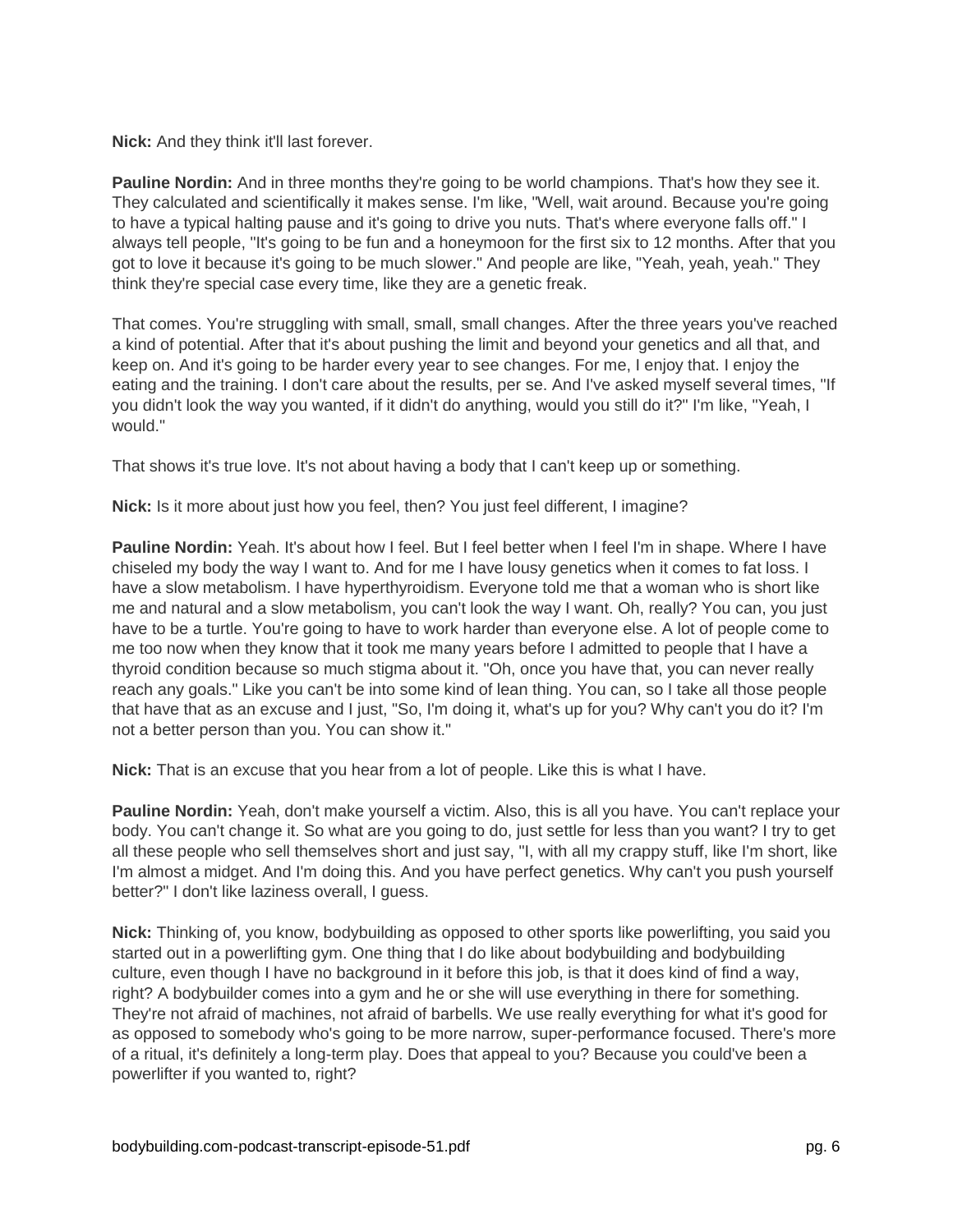**Nick:** And they think it'll last forever.

**Pauline Nordin:** And in three months they're going to be world champions. That's how they see it. They calculated and scientifically it makes sense. I'm like, "Well, wait around. Because you're going to have a typical halting pause and it's going to drive you nuts. That's where everyone falls off." I always tell people, "It's going to be fun and a honeymoon for the first six to 12 months. After that you got to love it because it's going to be much slower." And people are like, "Yeah, yeah, yeah." They think they're special case every time, like they are a genetic freak.

That comes. You're struggling with small, small, small changes. After the three years you've reached a kind of potential. After that it's about pushing the limit and beyond your genetics and all that, and keep on. And it's going to be harder every year to see changes. For me, I enjoy that. I enjoy the eating and the training. I don't care about the results, per se. And I've asked myself several times, "If you didn't look the way you wanted, if it didn't do anything, would you still do it?" I'm like, "Yeah, I would."

That shows it's true love. It's not about having a body that I can't keep up or something.

**Nick:** Is it more about just how you feel, then? You just feel different, I imagine?

**Pauline Nordin:** Yeah. It's about how I feel. But I feel better when I feel I'm in shape. Where I have chiseled my body the way I want to. And for me I have lousy genetics when it comes to fat loss. I have a slow metabolism. I have hyperthyroidism. Everyone told me that a woman who is short like me and natural and a slow metabolism, you can't look the way I want. Oh, really? You can, you just have to be a turtle. You're going to have to work harder than everyone else. A lot of people come to me too now when they know that it took me many years before I admitted to people that I have a thyroid condition because so much stigma about it. "Oh, once you have that, you can never really reach any goals." Like you can't be into some kind of lean thing. You can, so I take all those people that have that as an excuse and I just, "So, I'm doing it, what's up for you? Why can't you do it? I'm not a better person than you. You can show it."

**Nick:** That is an excuse that you hear from a lot of people. Like this is what I have.

**Pauline Nordin:** Yeah, don't make yourself a victim. Also, this is all you have. You can't replace your body. You can't change it. So what are you going to do, just settle for less than you want? I try to get all these people who sell themselves short and just say, "I, with all my crappy stuff, like I'm short, like I'm almost a midget. And I'm doing this. And you have perfect genetics. Why can't you push yourself better?" I don't like laziness overall, I guess.

**Nick:** Thinking of, you know, bodybuilding as opposed to other sports like powerlifting, you said you started out in a powerlifting gym. One thing that I do like about bodybuilding and bodybuilding culture, even though I have no background in it before this job, is that it does kind of find a way, right? A bodybuilder comes into a gym and he or she will use everything in there for something. They're not afraid of machines, not afraid of barbells. We use really everything for what it's good for as opposed to somebody who's going to be more narrow, super-performance focused. There's more of a ritual, it's definitely a long-term play. Does that appeal to you? Because you could've been a powerlifter if you wanted to, right?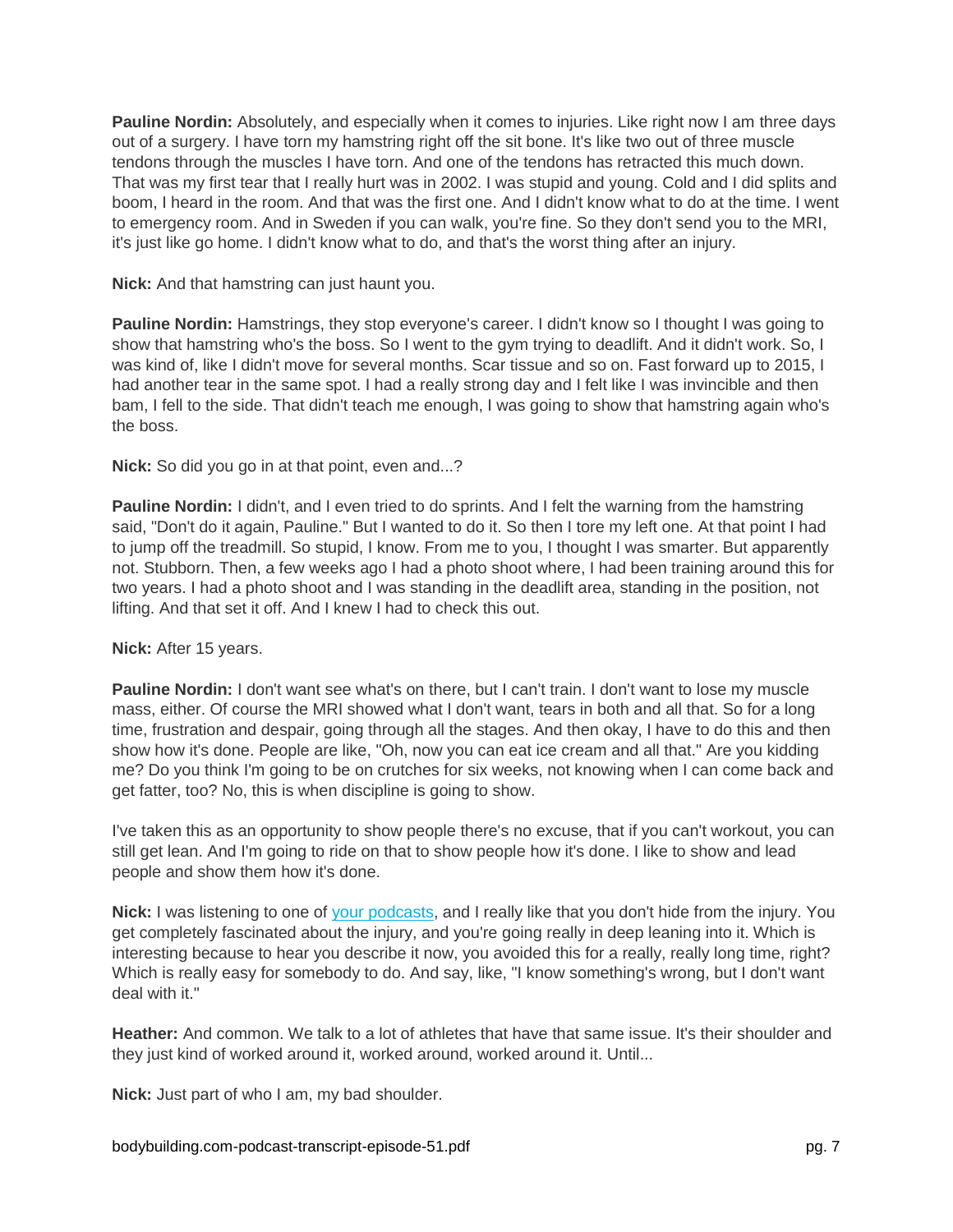**Pauline Nordin:** Absolutely, and especially when it comes to injuries. Like right now I am three days out of a surgery. I have torn my hamstring right off the sit bone. It's like two out of three muscle tendons through the muscles I have torn. And one of the tendons has retracted this much down. That was my first tear that I really hurt was in 2002. I was stupid and young. Cold and I did splits and boom, I heard in the room. And that was the first one. And I didn't know what to do at the time. I went to emergency room. And in Sweden if you can walk, you're fine. So they don't send you to the MRI, it's just like go home. I didn't know what to do, and that's the worst thing after an injury.

**Nick:** And that hamstring can just haunt you.

**Pauline Nordin:** Hamstrings, they stop everyone's career. I didn't know so I thought I was going to show that hamstring who's the boss. So I went to the gym trying to deadlift. And it didn't work. So, I was kind of, like I didn't move for several months. Scar tissue and so on. Fast forward up to 2015, I had another tear in the same spot. I had a really strong day and I felt like I was invincible and then bam, I fell to the side. That didn't teach me enough, I was going to show that hamstring again who's the boss.

**Nick:** So did you go in at that point, even and...?

**Pauline Nordin:** I didn't, and I even tried to do sprints. And I felt the warning from the hamstring said, "Don't do it again, Pauline." But I wanted to do it. So then I tore my left one. At that point I had to jump off the treadmill. So stupid, I know. From me to you, I thought I was smarter. But apparently not. Stubborn. Then, a few weeks ago I had a photo shoot where, I had been training around this for two years. I had a photo shoot and I was standing in the deadlift area, standing in the position, not lifting. And that set it off. And I knew I had to check this out.

**Nick:** After 15 years.

**Pauline Nordin:** I don't want see what's on there, but I can't train. I don't want to lose my muscle mass, either. Of course the MRI showed what I don't want, tears in both and all that. So for a long time, frustration and despair, going through all the stages. And then okay, I have to do this and then show how it's done. People are like, "Oh, now you can eat ice cream and all that." Are you kidding me? Do you think I'm going to be on crutches for six weeks, not knowing when I can come back and get fatter, too? No, this is when discipline is going to show.

I've taken this as an opportunity to show people there's no excuse, that if you can't workout, you can still get lean. And I'm going to ride on that to show people how it's done. I like to show and lead people and show them how it's done.

**Nick:** I was listening to one of [your podcasts,](https://fighterdiet.com/podcast/) and I really like that you don't hide from the injury. You get completely fascinated about the injury, and you're going really in deep leaning into it. Which is interesting because to hear you describe it now, you avoided this for a really, really long time, right? Which is really easy for somebody to do. And say, like, "I know something's wrong, but I don't want deal with it."

**Heather:** And common. We talk to a lot of athletes that have that same issue. It's their shoulder and they just kind of worked around it, worked around, worked around it. Until...

**Nick:** Just part of who I am, my bad shoulder.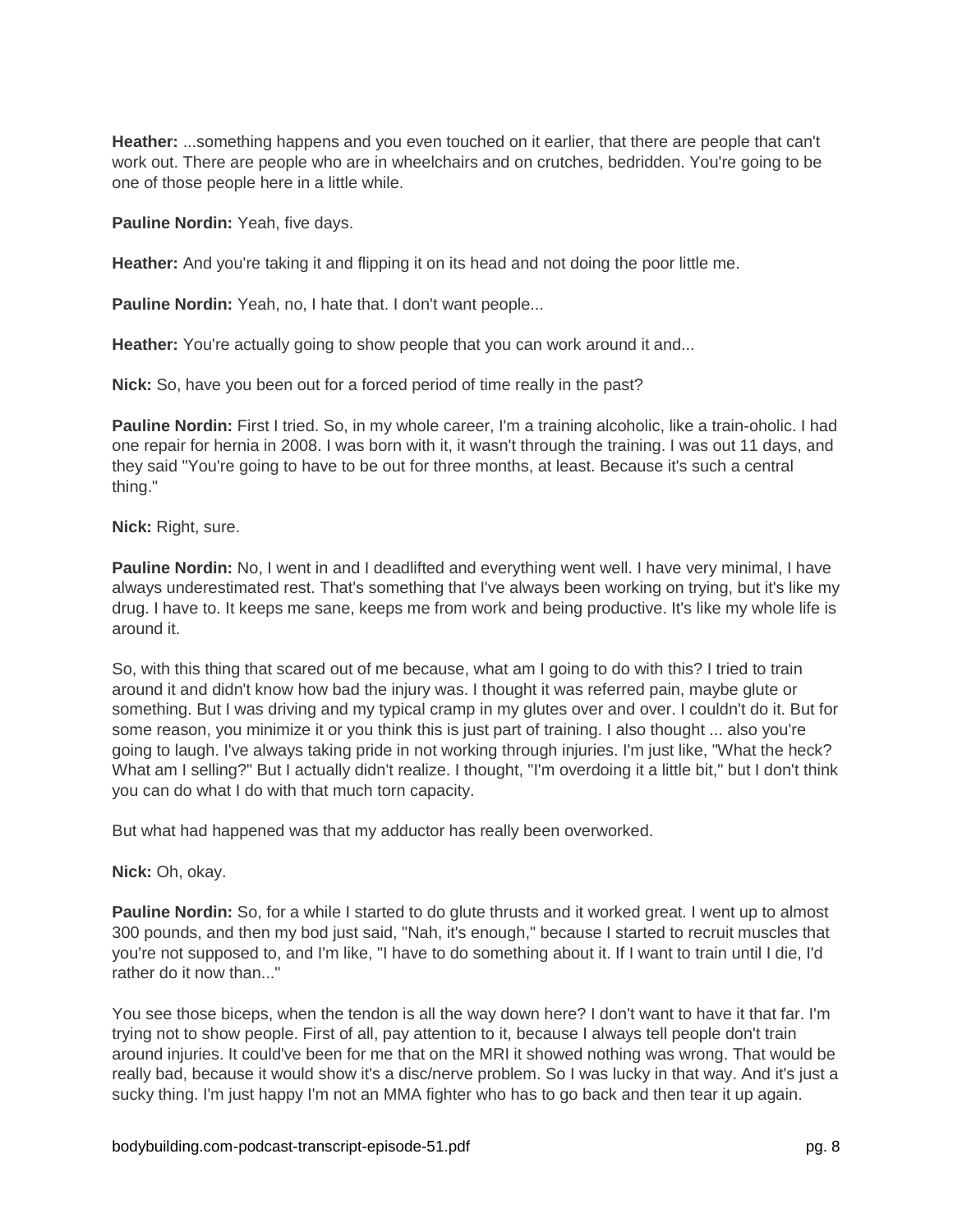**Heather:** ...something happens and you even touched on it earlier, that there are people that can't work out. There are people who are in wheelchairs and on crutches, bedridden. You're going to be one of those people here in a little while.

**Pauline Nordin:** Yeah, five days.

**Heather:** And you're taking it and flipping it on its head and not doing the poor little me.

**Pauline Nordin:** Yeah, no, I hate that. I don't want people...

**Heather:** You're actually going to show people that you can work around it and...

**Nick:** So, have you been out for a forced period of time really in the past?

**Pauline Nordin:** First I tried. So, in my whole career, I'm a training alcoholic, like a train-oholic. I had one repair for hernia in 2008. I was born with it, it wasn't through the training. I was out 11 days, and they said "You're going to have to be out for three months, at least. Because it's such a central thing."

**Nick:** Right, sure.

**Pauline Nordin:** No, I went in and I deadlifted and everything went well. I have very minimal, I have always underestimated rest. That's something that I've always been working on trying, but it's like my drug. I have to. It keeps me sane, keeps me from work and being productive. It's like my whole life is around it.

So, with this thing that scared out of me because, what am I going to do with this? I tried to train around it and didn't know how bad the injury was. I thought it was referred pain, maybe glute or something. But I was driving and my typical cramp in my glutes over and over. I couldn't do it. But for some reason, you minimize it or you think this is just part of training. I also thought ... also you're going to laugh. I've always taking pride in not working through injuries. I'm just like, "What the heck? What am I selling?" But I actually didn't realize. I thought, "I'm overdoing it a little bit," but I don't think you can do what I do with that much torn capacity.

But what had happened was that my adductor has really been overworked.

**Nick:** Oh, okay.

**Pauline Nordin:** So, for a while I started to do glute thrusts and it worked great. I went up to almost 300 pounds, and then my bod just said, "Nah, it's enough," because I started to recruit muscles that you're not supposed to, and I'm like, "I have to do something about it. If I want to train until I die, I'd rather do it now than..."

You see those biceps, when the tendon is all the way down here? I don't want to have it that far. I'm trying not to show people. First of all, pay attention to it, because I always tell people don't train around injuries. It could've been for me that on the MRI it showed nothing was wrong. That would be really bad, because it would show it's a disc/nerve problem. So I was lucky in that way. And it's just a sucky thing. I'm just happy I'm not an MMA fighter who has to go back and then tear it up again.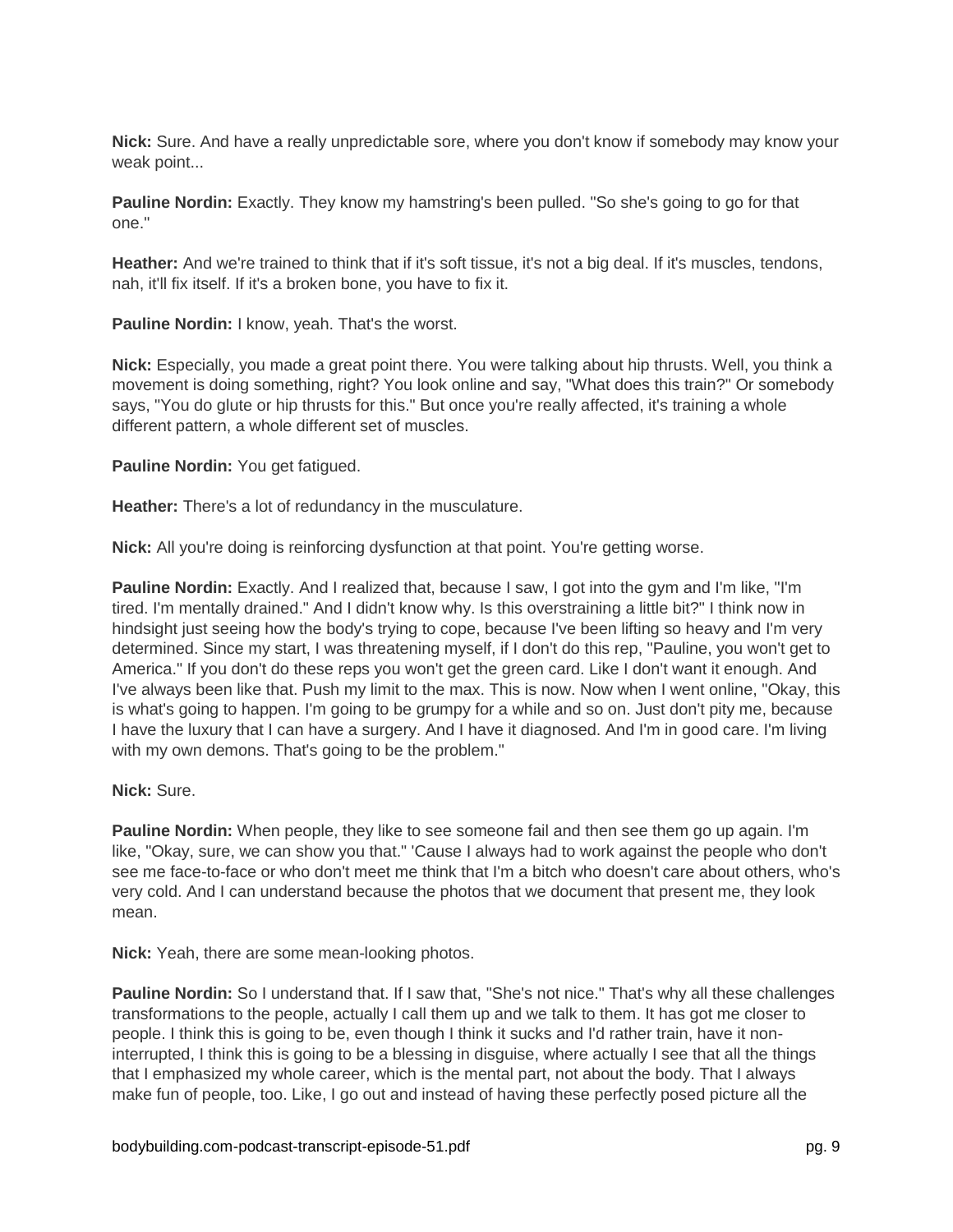**Nick:** Sure. And have a really unpredictable sore, where you don't know if somebody may know your weak point...

**Pauline Nordin:** Exactly. They know my hamstring's been pulled. "So she's going to go for that one."

**Heather:** And we're trained to think that if it's soft tissue, it's not a big deal. If it's muscles, tendons, nah, it'll fix itself. If it's a broken bone, you have to fix it.

**Pauline Nordin:** I know, yeah. That's the worst.

**Nick:** Especially, you made a great point there. You were talking about hip thrusts. Well, you think a movement is doing something, right? You look online and say, "What does this train?" Or somebody says, "You do glute or hip thrusts for this." But once you're really affected, it's training a whole different pattern, a whole different set of muscles.

**Pauline Nordin:** You get fatigued.

**Heather:** There's a lot of redundancy in the musculature.

**Nick:** All you're doing is reinforcing dysfunction at that point. You're getting worse.

**Pauline Nordin:** Exactly. And I realized that, because I saw, I got into the gym and I'm like, "I'm tired. I'm mentally drained." And I didn't know why. Is this overstraining a little bit?" I think now in hindsight just seeing how the body's trying to cope, because I've been lifting so heavy and I'm very determined. Since my start, I was threatening myself, if I don't do this rep, "Pauline, you won't get to America." If you don't do these reps you won't get the green card. Like I don't want it enough. And I've always been like that. Push my limit to the max. This is now. Now when I went online, "Okay, this is what's going to happen. I'm going to be grumpy for a while and so on. Just don't pity me, because I have the luxury that I can have a surgery. And I have it diagnosed. And I'm in good care. I'm living with my own demons. That's going to be the problem."

**Nick:** Sure.

**Pauline Nordin:** When people, they like to see someone fail and then see them go up again. I'm like, "Okay, sure, we can show you that." 'Cause I always had to work against the people who don't see me face-to-face or who don't meet me think that I'm a bitch who doesn't care about others, who's very cold. And I can understand because the photos that we document that present me, they look mean.

**Nick:** Yeah, there are some mean-looking photos.

**Pauline Nordin:** So I understand that. If I saw that, "She's not nice." That's why all these challenges transformations to the people, actually I call them up and we talk to them. It has got me closer to people. I think this is going to be, even though I think it sucks and I'd rather train, have it noninterrupted, I think this is going to be a blessing in disguise, where actually I see that all the things that I emphasized my whole career, which is the mental part, not about the body. That I always make fun of people, too. Like, I go out and instead of having these perfectly posed picture all the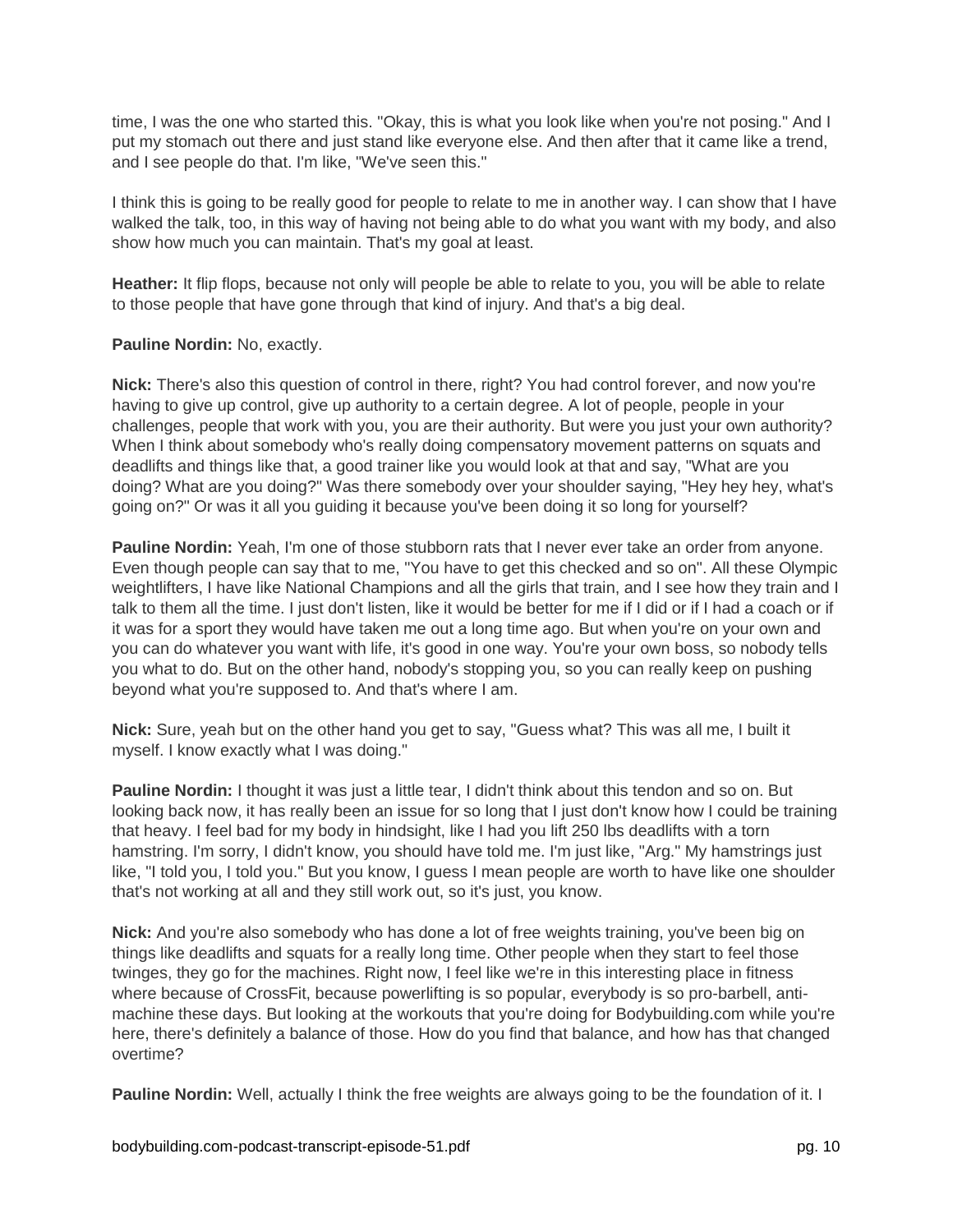time, I was the one who started this. "Okay, this is what you look like when you're not posing." And I put my stomach out there and just stand like everyone else. And then after that it came like a trend, and I see people do that. I'm like, "We've seen this."

I think this is going to be really good for people to relate to me in another way. I can show that I have walked the talk, too, in this way of having not being able to do what you want with my body, and also show how much you can maintain. That's my goal at least.

**Heather:** It flip flops, because not only will people be able to relate to you, you will be able to relate to those people that have gone through that kind of injury. And that's a big deal.

### **Pauline Nordin:** No, exactly.

**Nick:** There's also this question of control in there, right? You had control forever, and now you're having to give up control, give up authority to a certain degree. A lot of people, people in your challenges, people that work with you, you are their authority. But were you just your own authority? When I think about somebody who's really doing compensatory movement patterns on squats and deadlifts and things like that, a good trainer like you would look at that and say, "What are you doing? What are you doing?" Was there somebody over your shoulder saying, "Hey hey hey, what's going on?" Or was it all you guiding it because you've been doing it so long for yourself?

**Pauline Nordin:** Yeah, I'm one of those stubborn rats that I never ever take an order from anyone. Even though people can say that to me, "You have to get this checked and so on". All these Olympic weightlifters, I have like National Champions and all the girls that train, and I see how they train and I talk to them all the time. I just don't listen, like it would be better for me if I did or if I had a coach or if it was for a sport they would have taken me out a long time ago. But when you're on your own and you can do whatever you want with life, it's good in one way. You're your own boss, so nobody tells you what to do. But on the other hand, nobody's stopping you, so you can really keep on pushing beyond what you're supposed to. And that's where I am.

**Nick:** Sure, yeah but on the other hand you get to say, "Guess what? This was all me, I built it myself. I know exactly what I was doing."

**Pauline Nordin:** I thought it was just a little tear, I didn't think about this tendon and so on. But looking back now, it has really been an issue for so long that I just don't know how I could be training that heavy. I feel bad for my body in hindsight, like I had you lift 250 lbs deadlifts with a torn hamstring. I'm sorry, I didn't know, you should have told me. I'm just like, "Arg." My hamstrings just like, "I told you, I told you." But you know, I guess I mean people are worth to have like one shoulder that's not working at all and they still work out, so it's just, you know.

**Nick:** And you're also somebody who has done a lot of free weights training, you've been big on things like deadlifts and squats for a really long time. Other people when they start to feel those twinges, they go for the machines. Right now, I feel like we're in this interesting place in fitness where because of CrossFit, because powerlifting is so popular, everybody is so pro-barbell, antimachine these days. But looking at the workouts that you're doing for Bodybuilding.com while you're here, there's definitely a balance of those. How do you find that balance, and how has that changed overtime?

**Pauline Nordin:** Well, actually I think the free weights are always going to be the foundation of it. I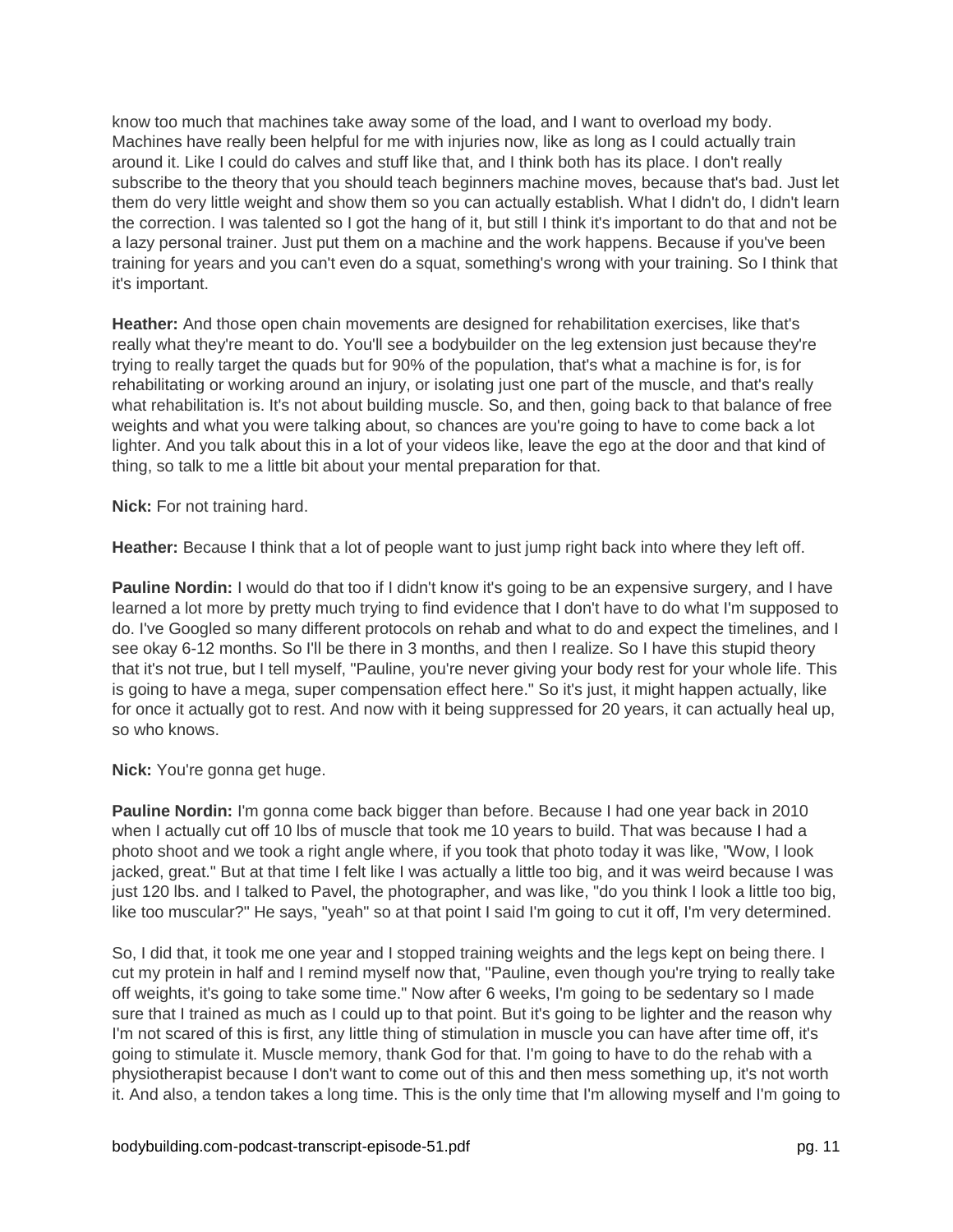know too much that machines take away some of the load, and I want to overload my body. Machines have really been helpful for me with injuries now, like as long as I could actually train around it. Like I could do calves and stuff like that, and I think both has its place. I don't really subscribe to the theory that you should teach beginners machine moves, because that's bad. Just let them do very little weight and show them so you can actually establish. What I didn't do, I didn't learn the correction. I was talented so I got the hang of it, but still I think it's important to do that and not be a lazy personal trainer. Just put them on a machine and the work happens. Because if you've been training for years and you can't even do a squat, something's wrong with your training. So I think that it's important.

**Heather:** And those open chain movements are designed for rehabilitation exercises, like that's really what they're meant to do. You'll see a bodybuilder on the leg extension just because they're trying to really target the quads but for 90% of the population, that's what a machine is for, is for rehabilitating or working around an injury, or isolating just one part of the muscle, and that's really what rehabilitation is. It's not about building muscle. So, and then, going back to that balance of free weights and what you were talking about, so chances are you're going to have to come back a lot lighter. And you talk about this in a lot of your videos like, leave the ego at the door and that kind of thing, so talk to me a little bit about your mental preparation for that.

**Nick:** For not training hard.

**Heather:** Because I think that a lot of people want to just jump right back into where they left off.

**Pauline Nordin:** I would do that too if I didn't know it's going to be an expensive surgery, and I have learned a lot more by pretty much trying to find evidence that I don't have to do what I'm supposed to do. I've Googled so many different protocols on rehab and what to do and expect the timelines, and I see okay 6-12 months. So I'll be there in 3 months, and then I realize. So I have this stupid theory that it's not true, but I tell myself, "Pauline, you're never giving your body rest for your whole life. This is going to have a mega, super compensation effect here." So it's just, it might happen actually, like for once it actually got to rest. And now with it being suppressed for 20 years, it can actually heal up, so who knows.

**Nick:** You're gonna get huge.

**Pauline Nordin:** I'm gonna come back bigger than before. Because I had one year back in 2010 when I actually cut off 10 lbs of muscle that took me 10 years to build. That was because I had a photo shoot and we took a right angle where, if you took that photo today it was like, "Wow, I look jacked, great." But at that time I felt like I was actually a little too big, and it was weird because I was just 120 lbs. and I talked to Pavel, the photographer, and was like, "do you think I look a little too big, like too muscular?" He says, "yeah" so at that point I said I'm going to cut it off, I'm very determined.

So, I did that, it took me one year and I stopped training weights and the legs kept on being there. I cut my protein in half and I remind myself now that, "Pauline, even though you're trying to really take off weights, it's going to take some time." Now after 6 weeks, I'm going to be sedentary so I made sure that I trained as much as I could up to that point. But it's going to be lighter and the reason why I'm not scared of this is first, any little thing of stimulation in muscle you can have after time off, it's going to stimulate it. Muscle memory, thank God for that. I'm going to have to do the rehab with a physiotherapist because I don't want to come out of this and then mess something up, it's not worth it. And also, a tendon takes a long time. This is the only time that I'm allowing myself and I'm going to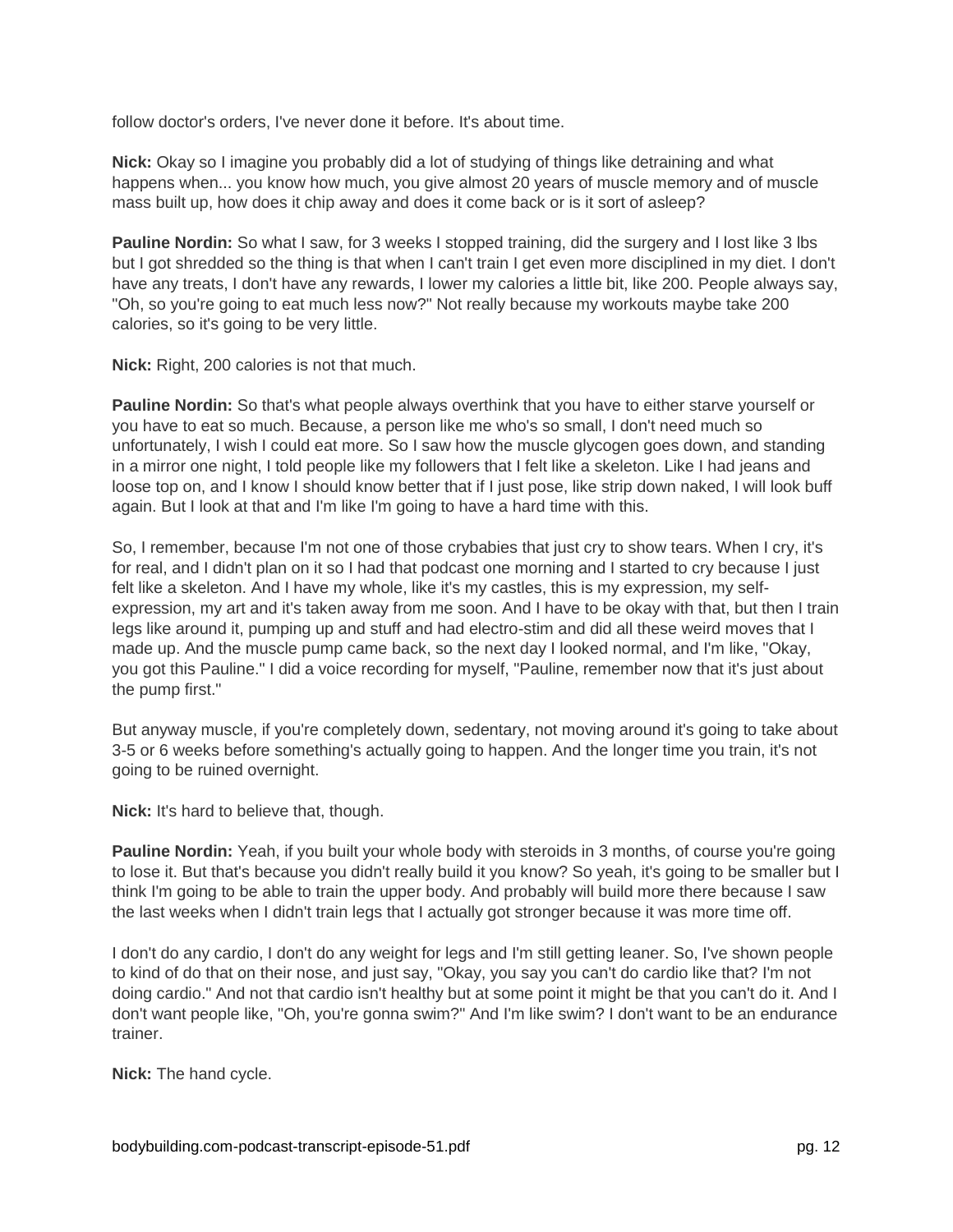follow doctor's orders, I've never done it before. It's about time.

**Nick:** Okay so I imagine you probably did a lot of studying of things like detraining and what happens when... you know how much, you give almost 20 years of muscle memory and of muscle mass built up, how does it chip away and does it come back or is it sort of asleep?

**Pauline Nordin:** So what I saw, for 3 weeks I stopped training, did the surgery and I lost like 3 lbs but I got shredded so the thing is that when I can't train I get even more disciplined in my diet. I don't have any treats, I don't have any rewards, I lower my calories a little bit, like 200. People always say, "Oh, so you're going to eat much less now?" Not really because my workouts maybe take 200 calories, so it's going to be very little.

**Nick:** Right, 200 calories is not that much.

**Pauline Nordin:** So that's what people always overthink that you have to either starve yourself or you have to eat so much. Because, a person like me who's so small, I don't need much so unfortunately, I wish I could eat more. So I saw how the muscle glycogen goes down, and standing in a mirror one night, I told people like my followers that I felt like a skeleton. Like I had jeans and loose top on, and I know I should know better that if I just pose, like strip down naked, I will look buff again. But I look at that and I'm like I'm going to have a hard time with this.

So, I remember, because I'm not one of those crybabies that just cry to show tears. When I cry, it's for real, and I didn't plan on it so I had that podcast one morning and I started to cry because I just felt like a skeleton. And I have my whole, like it's my castles, this is my expression, my selfexpression, my art and it's taken away from me soon. And I have to be okay with that, but then I train legs like around it, pumping up and stuff and had electro-stim and did all these weird moves that I made up. And the muscle pump came back, so the next day I looked normal, and I'm like, "Okay, you got this Pauline." I did a voice recording for myself, "Pauline, remember now that it's just about the pump first."

But anyway muscle, if you're completely down, sedentary, not moving around it's going to take about 3-5 or 6 weeks before something's actually going to happen. And the longer time you train, it's not going to be ruined overnight.

**Nick:** It's hard to believe that, though.

**Pauline Nordin:** Yeah, if you built your whole body with steroids in 3 months, of course you're going to lose it. But that's because you didn't really build it you know? So yeah, it's going to be smaller but I think I'm going to be able to train the upper body. And probably will build more there because I saw the last weeks when I didn't train legs that I actually got stronger because it was more time off.

I don't do any cardio, I don't do any weight for legs and I'm still getting leaner. So, I've shown people to kind of do that on their nose, and just say, "Okay, you say you can't do cardio like that? I'm not doing cardio." And not that cardio isn't healthy but at some point it might be that you can't do it. And I don't want people like, "Oh, you're gonna swim?" And I'm like swim? I don't want to be an endurance trainer.

**Nick:** The hand cycle.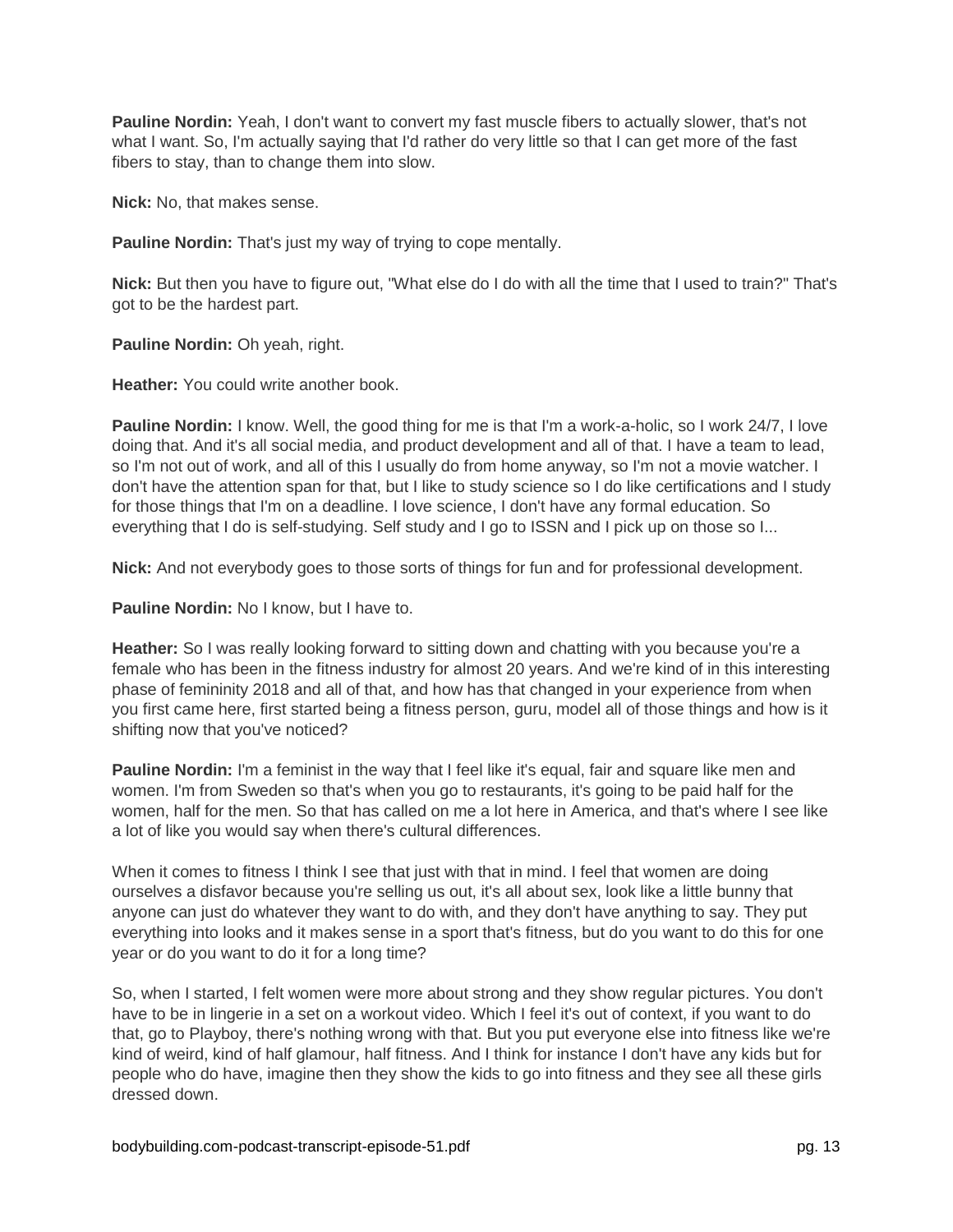**Pauline Nordin:** Yeah, I don't want to convert my fast muscle fibers to actually slower, that's not what I want. So, I'm actually saying that I'd rather do very little so that I can get more of the fast fibers to stay, than to change them into slow.

**Nick:** No, that makes sense.

**Pauline Nordin:** That's just my way of trying to cope mentally.

**Nick:** But then you have to figure out, "What else do I do with all the time that I used to train?" That's got to be the hardest part.

**Pauline Nordin:** Oh yeah, right.

**Heather:** You could write another book.

**Pauline Nordin:** I know. Well, the good thing for me is that I'm a work-a-holic, so I work 24/7, I love doing that. And it's all social media, and product development and all of that. I have a team to lead, so I'm not out of work, and all of this I usually do from home anyway, so I'm not a movie watcher. I don't have the attention span for that, but I like to study science so I do like certifications and I study for those things that I'm on a deadline. I love science, I don't have any formal education. So everything that I do is self-studying. Self study and I go to ISSN and I pick up on those so I...

**Nick:** And not everybody goes to those sorts of things for fun and for professional development.

**Pauline Nordin:** No I know, but I have to.

**Heather:** So I was really looking forward to sitting down and chatting with you because you're a female who has been in the fitness industry for almost 20 years. And we're kind of in this interesting phase of femininity 2018 and all of that, and how has that changed in your experience from when you first came here, first started being a fitness person, guru, model all of those things and how is it shifting now that you've noticed?

Pauline Nordin: I'm a feminist in the way that I feel like it's equal, fair and square like men and women. I'm from Sweden so that's when you go to restaurants, it's going to be paid half for the women, half for the men. So that has called on me a lot here in America, and that's where I see like a lot of like you would say when there's cultural differences.

When it comes to fitness I think I see that just with that in mind. I feel that women are doing ourselves a disfavor because you're selling us out, it's all about sex, look like a little bunny that anyone can just do whatever they want to do with, and they don't have anything to say. They put everything into looks and it makes sense in a sport that's fitness, but do you want to do this for one year or do you want to do it for a long time?

So, when I started, I felt women were more about strong and they show regular pictures. You don't have to be in lingerie in a set on a workout video. Which I feel it's out of context, if you want to do that, go to Playboy, there's nothing wrong with that. But you put everyone else into fitness like we're kind of weird, kind of half glamour, half fitness. And I think for instance I don't have any kids but for people who do have, imagine then they show the kids to go into fitness and they see all these girls dressed down.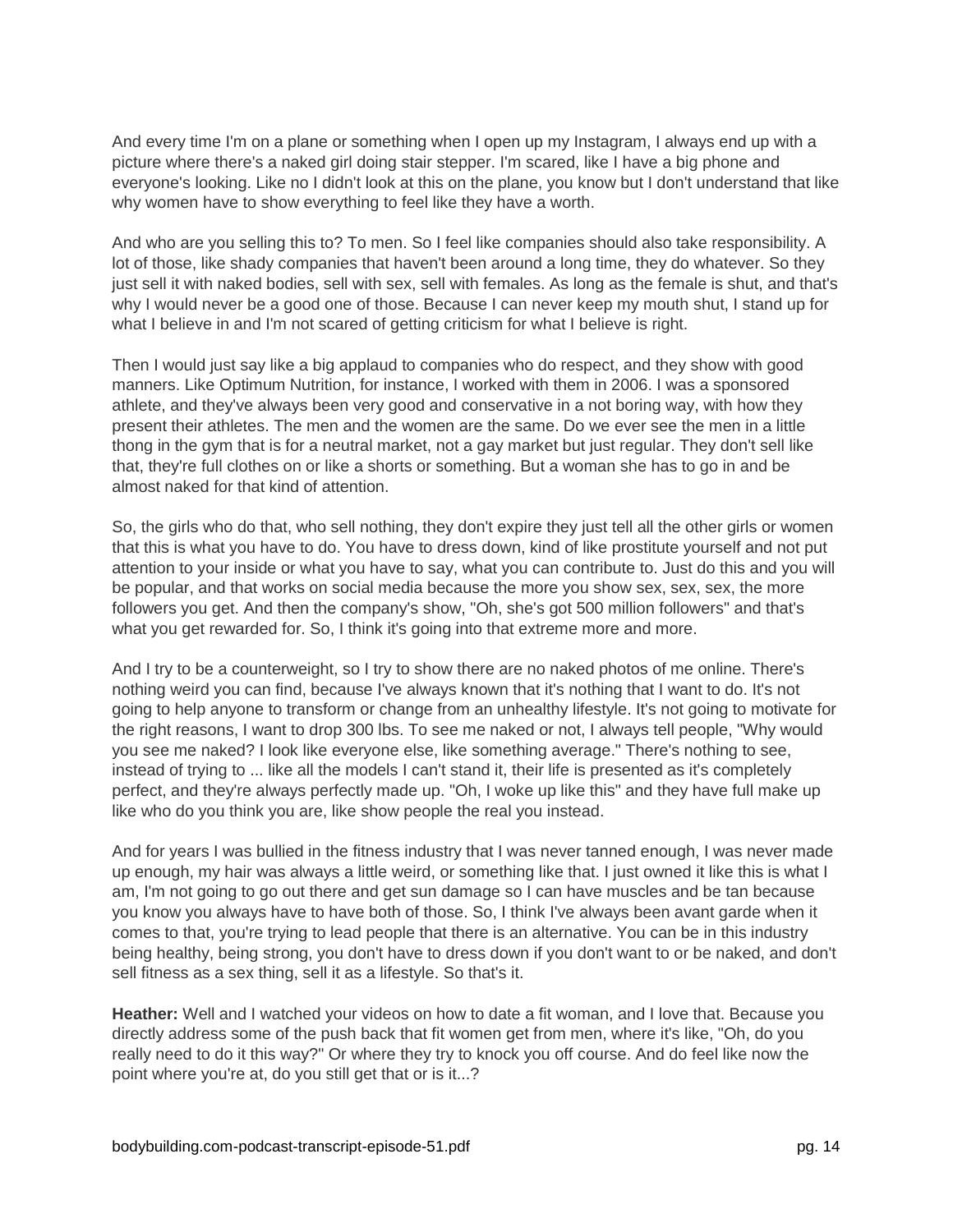And every time I'm on a plane or something when I open up my Instagram, I always end up with a picture where there's a naked girl doing stair stepper. I'm scared, like I have a big phone and everyone's looking. Like no I didn't look at this on the plane, you know but I don't understand that like why women have to show everything to feel like they have a worth.

And who are you selling this to? To men. So I feel like companies should also take responsibility. A lot of those, like shady companies that haven't been around a long time, they do whatever. So they just sell it with naked bodies, sell with sex, sell with females. As long as the female is shut, and that's why I would never be a good one of those. Because I can never keep my mouth shut, I stand up for what I believe in and I'm not scared of getting criticism for what I believe is right.

Then I would just say like a big applaud to companies who do respect, and they show with good manners. Like Optimum Nutrition, for instance, I worked with them in 2006. I was a sponsored athlete, and they've always been very good and conservative in a not boring way, with how they present their athletes. The men and the women are the same. Do we ever see the men in a little thong in the gym that is for a neutral market, not a gay market but just regular. They don't sell like that, they're full clothes on or like a shorts or something. But a woman she has to go in and be almost naked for that kind of attention.

So, the girls who do that, who sell nothing, they don't expire they just tell all the other girls or women that this is what you have to do. You have to dress down, kind of like prostitute yourself and not put attention to your inside or what you have to say, what you can contribute to. Just do this and you will be popular, and that works on social media because the more you show sex, sex, sex, the more followers you get. And then the company's show, "Oh, she's got 500 million followers" and that's what you get rewarded for. So, I think it's going into that extreme more and more.

And I try to be a counterweight, so I try to show there are no naked photos of me online. There's nothing weird you can find, because I've always known that it's nothing that I want to do. It's not going to help anyone to transform or change from an unhealthy lifestyle. It's not going to motivate for the right reasons, I want to drop 300 lbs. To see me naked or not, I always tell people, "Why would you see me naked? I look like everyone else, like something average." There's nothing to see, instead of trying to ... like all the models I can't stand it, their life is presented as it's completely perfect, and they're always perfectly made up. "Oh, I woke up like this" and they have full make up like who do you think you are, like show people the real you instead.

And for years I was bullied in the fitness industry that I was never tanned enough, I was never made up enough, my hair was always a little weird, or something like that. I just owned it like this is what I am, I'm not going to go out there and get sun damage so I can have muscles and be tan because you know you always have to have both of those. So, I think I've always been avant garde when it comes to that, you're trying to lead people that there is an alternative. You can be in this industry being healthy, being strong, you don't have to dress down if you don't want to or be naked, and don't sell fitness as a sex thing, sell it as a lifestyle. So that's it.

**Heather:** Well and I watched your videos on how to date a fit woman, and I love that. Because you directly address some of the push back that fit women get from men, where it's like, "Oh, do you really need to do it this way?" Or where they try to knock you off course. And do feel like now the point where you're at, do you still get that or is it...?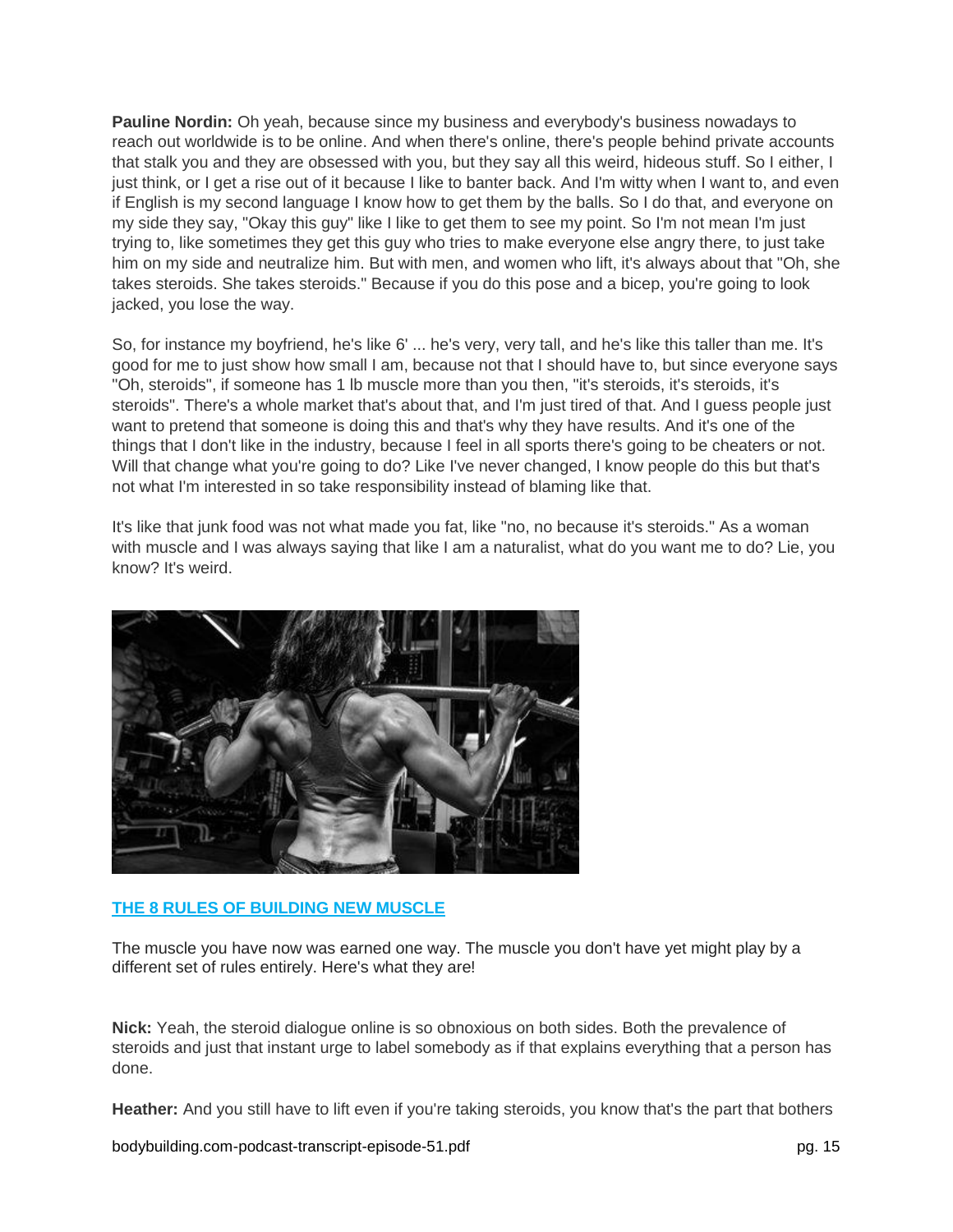**Pauline Nordin:** Oh yeah, because since my business and everybody's business nowadays to reach out worldwide is to be online. And when there's online, there's people behind private accounts that stalk you and they are obsessed with you, but they say all this weird, hideous stuff. So I either, I just think, or I get a rise out of it because I like to banter back. And I'm witty when I want to, and even if English is my second language I know how to get them by the balls. So I do that, and everyone on my side they say, "Okay this guy" like I like to get them to see my point. So I'm not mean I'm just trying to, like sometimes they get this guy who tries to make everyone else angry there, to just take him on my side and neutralize him. But with men, and women who lift, it's always about that "Oh, she takes steroids. She takes steroids." Because if you do this pose and a bicep, you're going to look jacked, you lose the way.

So, for instance my boyfriend, he's like 6' ... he's very, very tall, and he's like this taller than me. It's good for me to just show how small I am, because not that I should have to, but since everyone says "Oh, steroids", if someone has 1 lb muscle more than you then, "it's steroids, it's steroids, it's steroids". There's a whole market that's about that, and I'm just tired of that. And I guess people just want to pretend that someone is doing this and that's why they have results. And it's one of the things that I don't like in the industry, because I feel in all sports there's going to be cheaters or not. Will that change what you're going to do? Like I've never changed, I know people do this but that's not what I'm interested in so take responsibility instead of blaming like that.

It's like that junk food was not what made you fat, like "no, no because it's steroids." As a woman with muscle and I was always saying that like I am a naturalist, what do you want me to do? Lie, you know? It's weird.



## **[THE 8 RULES OF BUILDING NEW MUSCLE](https://www.bodybuilding.com/content/the-8-rules-of-building-new-muscle.html)**

The muscle you have now was earned one way. The muscle you don't have yet might play by a different set of rules entirely. Here's what they are!

**Nick:** Yeah, the steroid dialogue online is so obnoxious on both sides. Both the prevalence of steroids and just that instant urge to label somebody as if that explains everything that a person has done.

**Heather:** And you still have to lift even if you're taking steroids, you know that's the part that bothers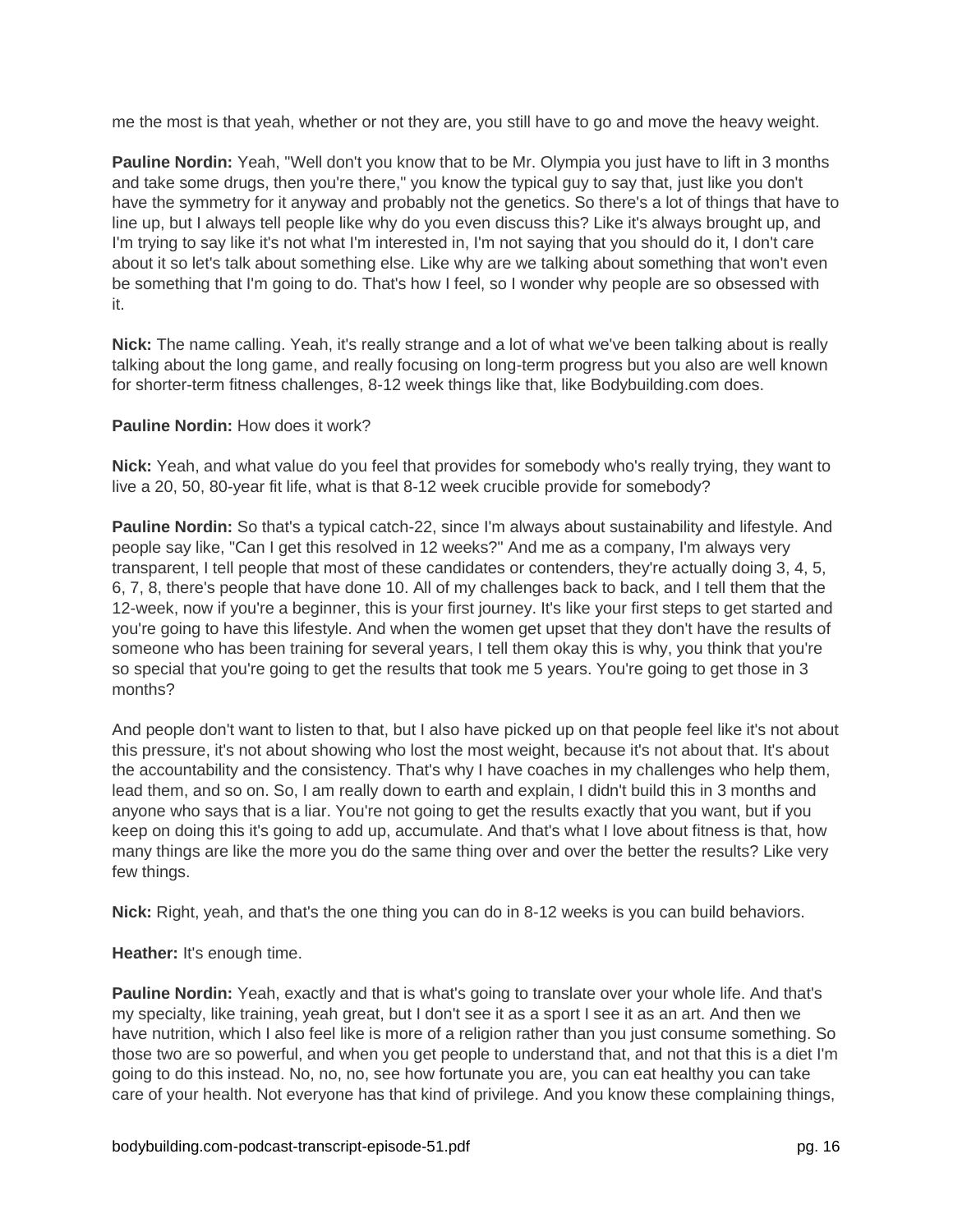me the most is that yeah, whether or not they are, you still have to go and move the heavy weight.

**Pauline Nordin:** Yeah, "Well don't you know that to be Mr. Olympia you just have to lift in 3 months and take some drugs, then you're there," you know the typical guy to say that, just like you don't have the symmetry for it anyway and probably not the genetics. So there's a lot of things that have to line up, but I always tell people like why do you even discuss this? Like it's always brought up, and I'm trying to say like it's not what I'm interested in, I'm not saying that you should do it, I don't care about it so let's talk about something else. Like why are we talking about something that won't even be something that I'm going to do. That's how I feel, so I wonder why people are so obsessed with it.

**Nick:** The name calling. Yeah, it's really strange and a lot of what we've been talking about is really talking about the long game, and really focusing on long-term progress but you also are well known for shorter-term fitness challenges, 8-12 week things like that, like Bodybuilding.com does.

#### **Pauline Nordin:** How does it work?

**Nick:** Yeah, and what value do you feel that provides for somebody who's really trying, they want to live a 20, 50, 80-year fit life, what is that 8-12 week crucible provide for somebody?

**Pauline Nordin:** So that's a typical catch-22, since I'm always about sustainability and lifestyle. And people say like, "Can I get this resolved in 12 weeks?" And me as a company, I'm always very transparent, I tell people that most of these candidates or contenders, they're actually doing 3, 4, 5, 6, 7, 8, there's people that have done 10. All of my challenges back to back, and I tell them that the 12-week, now if you're a beginner, this is your first journey. It's like your first steps to get started and you're going to have this lifestyle. And when the women get upset that they don't have the results of someone who has been training for several years, I tell them okay this is why, you think that you're so special that you're going to get the results that took me 5 years. You're going to get those in 3 months?

And people don't want to listen to that, but I also have picked up on that people feel like it's not about this pressure, it's not about showing who lost the most weight, because it's not about that. It's about the accountability and the consistency. That's why I have coaches in my challenges who help them, lead them, and so on. So, I am really down to earth and explain, I didn't build this in 3 months and anyone who says that is a liar. You're not going to get the results exactly that you want, but if you keep on doing this it's going to add up, accumulate. And that's what I love about fitness is that, how many things are like the more you do the same thing over and over the better the results? Like very few things.

**Nick:** Right, yeah, and that's the one thing you can do in 8-12 weeks is you can build behaviors.

**Heather:** It's enough time.

**Pauline Nordin:** Yeah, exactly and that is what's going to translate over your whole life. And that's my specialty, like training, yeah great, but I don't see it as a sport I see it as an art. And then we have nutrition, which I also feel like is more of a religion rather than you just consume something. So those two are so powerful, and when you get people to understand that, and not that this is a diet I'm going to do this instead. No, no, no, see how fortunate you are, you can eat healthy you can take care of your health. Not everyone has that kind of privilege. And you know these complaining things,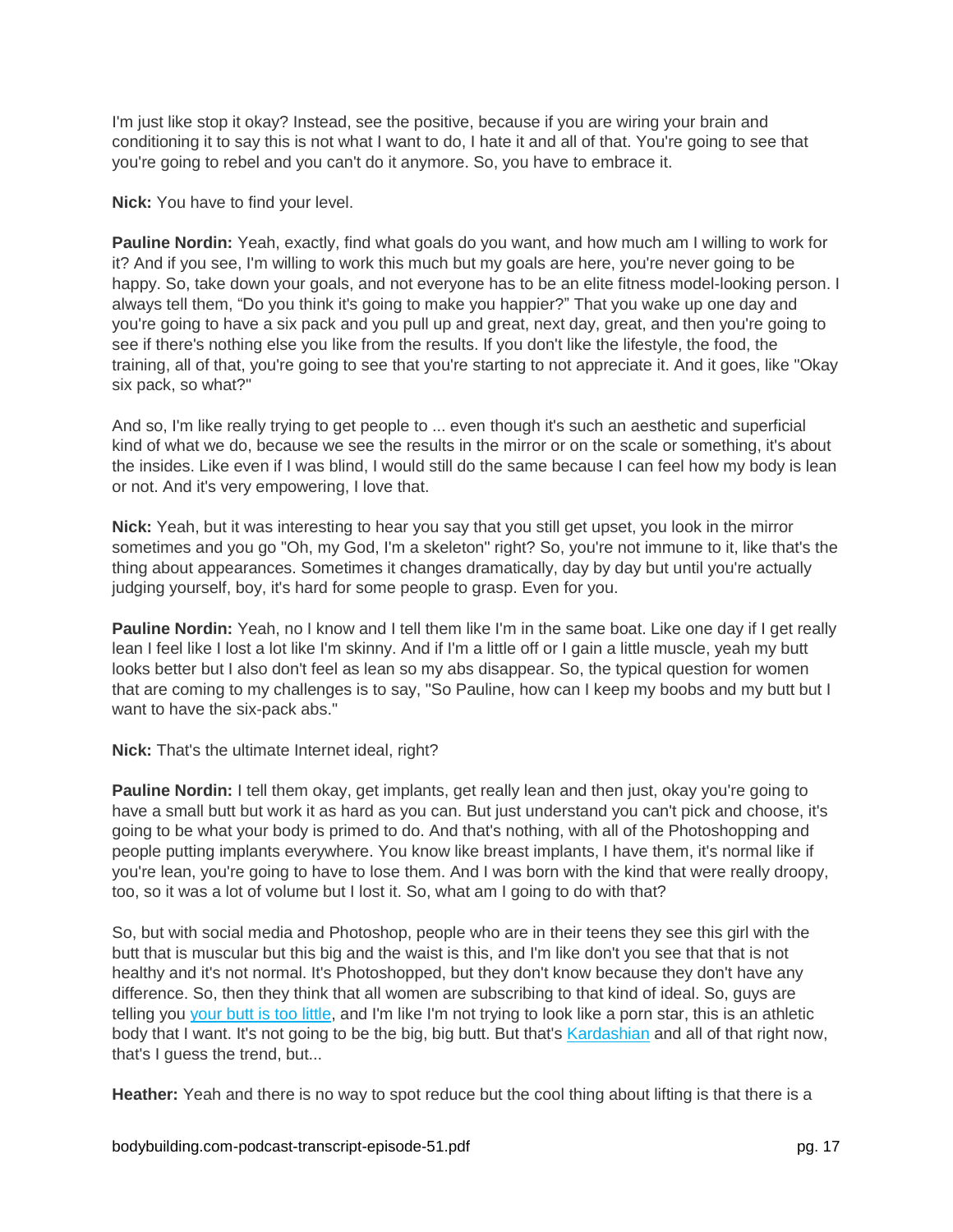I'm just like stop it okay? Instead, see the positive, because if you are wiring your brain and conditioning it to say this is not what I want to do, I hate it and all of that. You're going to see that you're going to rebel and you can't do it anymore. So, you have to embrace it.

**Nick:** You have to find your level.

**Pauline Nordin:** Yeah, exactly, find what goals do you want, and how much am I willing to work for it? And if you see, I'm willing to work this much but my goals are here, you're never going to be happy. So, take down your goals, and not everyone has to be an elite fitness model-looking person. I always tell them, "Do you think it's going to make you happier?" That you wake up one day and you're going to have a six pack and you pull up and great, next day, great, and then you're going to see if there's nothing else you like from the results. If you don't like the lifestyle, the food, the training, all of that, you're going to see that you're starting to not appreciate it. And it goes, like "Okay six pack, so what?"

And so, I'm like really trying to get people to ... even though it's such an aesthetic and superficial kind of what we do, because we see the results in the mirror or on the scale or something, it's about the insides. Like even if I was blind, I would still do the same because I can feel how my body is lean or not. And it's very empowering, I love that.

**Nick:** Yeah, but it was interesting to hear you say that you still get upset, you look in the mirror sometimes and you go "Oh, my God, I'm a skeleton" right? So, you're not immune to it, like that's the thing about appearances. Sometimes it changes dramatically, day by day but until you're actually judging yourself, boy, it's hard for some people to grasp. Even for you.

**Pauline Nordin:** Yeah, no I know and I tell them like I'm in the same boat. Like one day if I get really lean I feel like I lost a lot like I'm skinny. And if I'm a little off or I gain a little muscle, yeah my butt looks better but I also don't feel as lean so my abs disappear. So, the typical question for women that are coming to my challenges is to say, "So Pauline, how can I keep my boobs and my butt but I want to have the six-pack abs."

**Nick:** That's the ultimate Internet ideal, right?

**Pauline Nordin:** I tell them okay, get implants, get really lean and then just, okay you're going to have a small butt but work it as hard as you can. But just understand you can't pick and choose, it's going to be what your body is primed to do. And that's nothing, with all of the Photoshopping and people putting implants everywhere. You know like breast implants, I have them, it's normal like if you're lean, you're going to have to lose them. And I was born with the kind that were really droopy, too, so it was a lot of volume but I lost it. So, what am I going to do with that?

So, but with social media and Photoshop, people who are in their teens they see this girl with the butt that is muscular but this big and the waist is this, and I'm like don't you see that that is not healthy and it's not normal. It's Photoshopped, but they don't know because they don't have any difference. So, then they think that all women are subscribing to that kind of ideal. So, guys are telling you [your butt is too little,](https://www.bodybuilding.com/content/8-moves-to-get-the-perfect-butt.html) and I'm like I'm not trying to look like a porn star, this is an athletic body that I want. It's not going to be the big, big butt. But that's [Kardashian](https://www.bodybuilding.com/fun/honey-i-shrunk-the-kardashians.html) and all of that right now, that's I guess the trend, but...

**Heather:** Yeah and there is no way to spot reduce but the cool thing about lifting is that there is a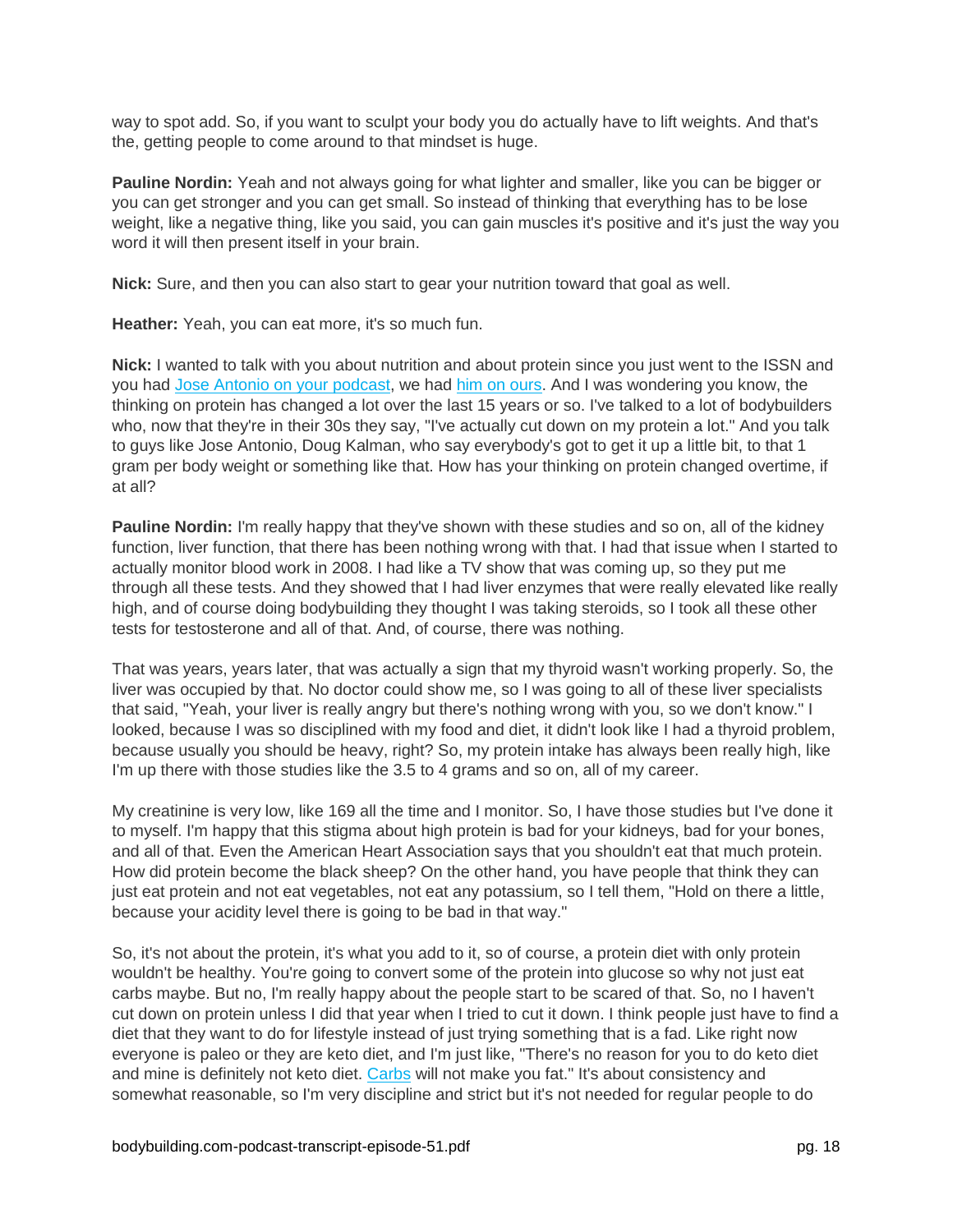way to spot add. So, if you want to sculpt your body you do actually have to lift weights. And that's the, getting people to come around to that mindset is huge.

**Pauline Nordin:** Yeah and not always going for what lighter and smaller, like you can be bigger or you can get stronger and you can get small. So instead of thinking that everything has to be lose weight, like a negative thing, like you said, you can gain muscles it's positive and it's just the way you word it will then present itself in your brain.

**Nick:** Sure, and then you can also start to gear your nutrition toward that goal as well.

**Heather:** Yeah, you can eat more, it's so much fun.

**Nick:** I wanted to talk with you about nutrition and about protein since you just went to the ISSN and you had [Jose Antonio on your podcast,](https://www.youtube.com/watch?v=FVvfb67kq7s) we had [him on ours.](https://www.bodybuilding.com/fun/podcast-episode-38-straight-talk-on-protein-and-more-with-dr-jose-antonio.html) And I was wondering you know, the thinking on protein has changed a lot over the last 15 years or so. I've talked to a lot of bodybuilders who, now that they're in their 30s they say, "I've actually cut down on my protein a lot." And you talk to guys like Jose Antonio, Doug Kalman, who say everybody's got to get it up a little bit, to that 1 gram per body weight or something like that. How has your thinking on protein changed overtime, if at all?

**Pauline Nordin:** I'm really happy that they've shown with these studies and so on, all of the kidney function, liver function, that there has been nothing wrong with that. I had that issue when I started to actually monitor blood work in 2008. I had like a TV show that was coming up, so they put me through all these tests. And they showed that I had liver enzymes that were really elevated like really high, and of course doing bodybuilding they thought I was taking steroids, so I took all these other tests for testosterone and all of that. And, of course, there was nothing.

That was years, years later, that was actually a sign that my thyroid wasn't working properly. So, the liver was occupied by that. No doctor could show me, so I was going to all of these liver specialists that said, "Yeah, your liver is really angry but there's nothing wrong with you, so we don't know." I looked, because I was so disciplined with my food and diet, it didn't look like I had a thyroid problem, because usually you should be heavy, right? So, my protein intake has always been really high, like I'm up there with those studies like the 3.5 to 4 grams and so on, all of my career.

My creatinine is very low, like 169 all the time and I monitor. So, I have those studies but I've done it to myself. I'm happy that this stigma about high protein is bad for your kidneys, bad for your bones, and all of that. Even the American Heart Association says that you shouldn't eat that much protein. How did protein become the black sheep? On the other hand, you have people that think they can just eat protein and not eat vegetables, not eat any potassium, so I tell them, "Hold on there a little, because your acidity level there is going to be bad in that way."

So, it's not about the protein, it's what you add to it, so of course, a protein diet with only protein wouldn't be healthy. You're going to convert some of the protein into glucose so why not just eat carbs maybe. But no, I'm really happy about the people start to be scared of that. So, no I haven't cut down on protein unless I did that year when I tried to cut it down. I think people just have to find a diet that they want to do for lifestyle instead of just trying something that is a fad. Like right now everyone is paleo or they are keto diet, and I'm just like, "There's no reason for you to do keto diet and mine is definitely not keto diet. [Carbs](https://www.bodybuilding.com/fun/carbs-your-macronutrient-frenemy) will not make you fat." It's about consistency and somewhat reasonable, so I'm very discipline and strict but it's not needed for regular people to do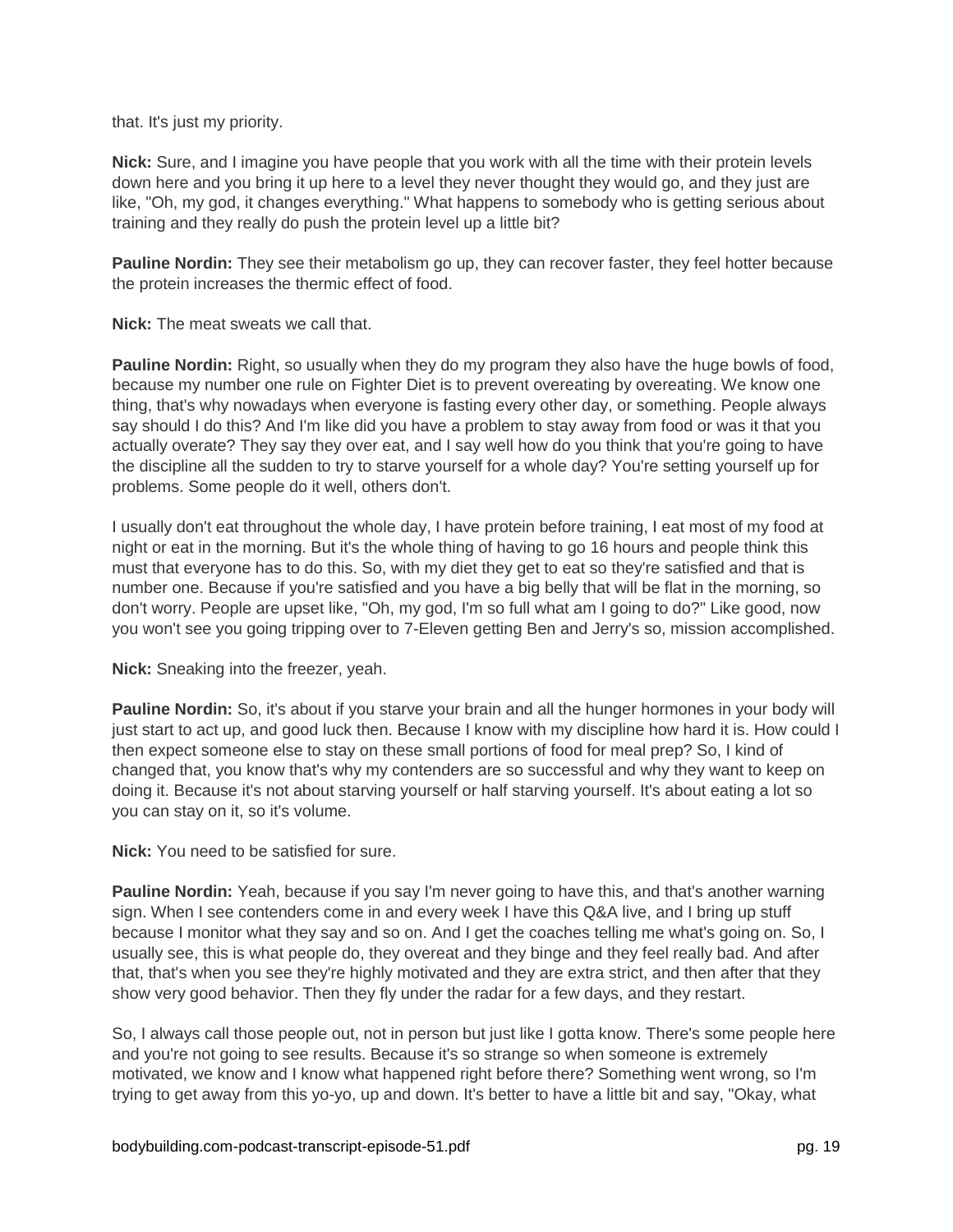that. It's just my priority.

**Nick:** Sure, and I imagine you have people that you work with all the time with their protein levels down here and you bring it up here to a level they never thought they would go, and they just are like, "Oh, my god, it changes everything." What happens to somebody who is getting serious about training and they really do push the protein level up a little bit?

**Pauline Nordin:** They see their metabolism go up, they can recover faster, they feel hotter because the protein increases the thermic effect of food.

**Nick:** The meat sweats we call that.

**Pauline Nordin:** Right, so usually when they do my program they also have the huge bowls of food, because my number one rule on Fighter Diet is to prevent overeating by overeating. We know one thing, that's why nowadays when everyone is fasting every other day, or something. People always say should I do this? And I'm like did you have a problem to stay away from food or was it that you actually overate? They say they over eat, and I say well how do you think that you're going to have the discipline all the sudden to try to starve yourself for a whole day? You're setting yourself up for problems. Some people do it well, others don't.

I usually don't eat throughout the whole day, I have protein before training, I eat most of my food at night or eat in the morning. But it's the whole thing of having to go 16 hours and people think this must that everyone has to do this. So, with my diet they get to eat so they're satisfied and that is number one. Because if you're satisfied and you have a big belly that will be flat in the morning, so don't worry. People are upset like, "Oh, my god, I'm so full what am I going to do?" Like good, now you won't see you going tripping over to 7-Eleven getting Ben and Jerry's so, mission accomplished.

**Nick:** Sneaking into the freezer, yeah.

**Pauline Nordin:** So, it's about if you starve your brain and all the hunger hormones in your body will just start to act up, and good luck then. Because I know with my discipline how hard it is. How could I then expect someone else to stay on these small portions of food for meal prep? So, I kind of changed that, you know that's why my contenders are so successful and why they want to keep on doing it. Because it's not about starving yourself or half starving yourself. It's about eating a lot so you can stay on it, so it's volume.

**Nick:** You need to be satisfied for sure.

**Pauline Nordin:** Yeah, because if you say I'm never going to have this, and that's another warning sign. When I see contenders come in and every week I have this Q&A live, and I bring up stuff because I monitor what they say and so on. And I get the coaches telling me what's going on. So, I usually see, this is what people do, they overeat and they binge and they feel really bad. And after that, that's when you see they're highly motivated and they are extra strict, and then after that they show very good behavior. Then they fly under the radar for a few days, and they restart.

So, I always call those people out, not in person but just like I gotta know. There's some people here and you're not going to see results. Because it's so strange so when someone is extremely motivated, we know and I know what happened right before there? Something went wrong, so I'm trying to get away from this yo-yo, up and down. It's better to have a little bit and say, "Okay, what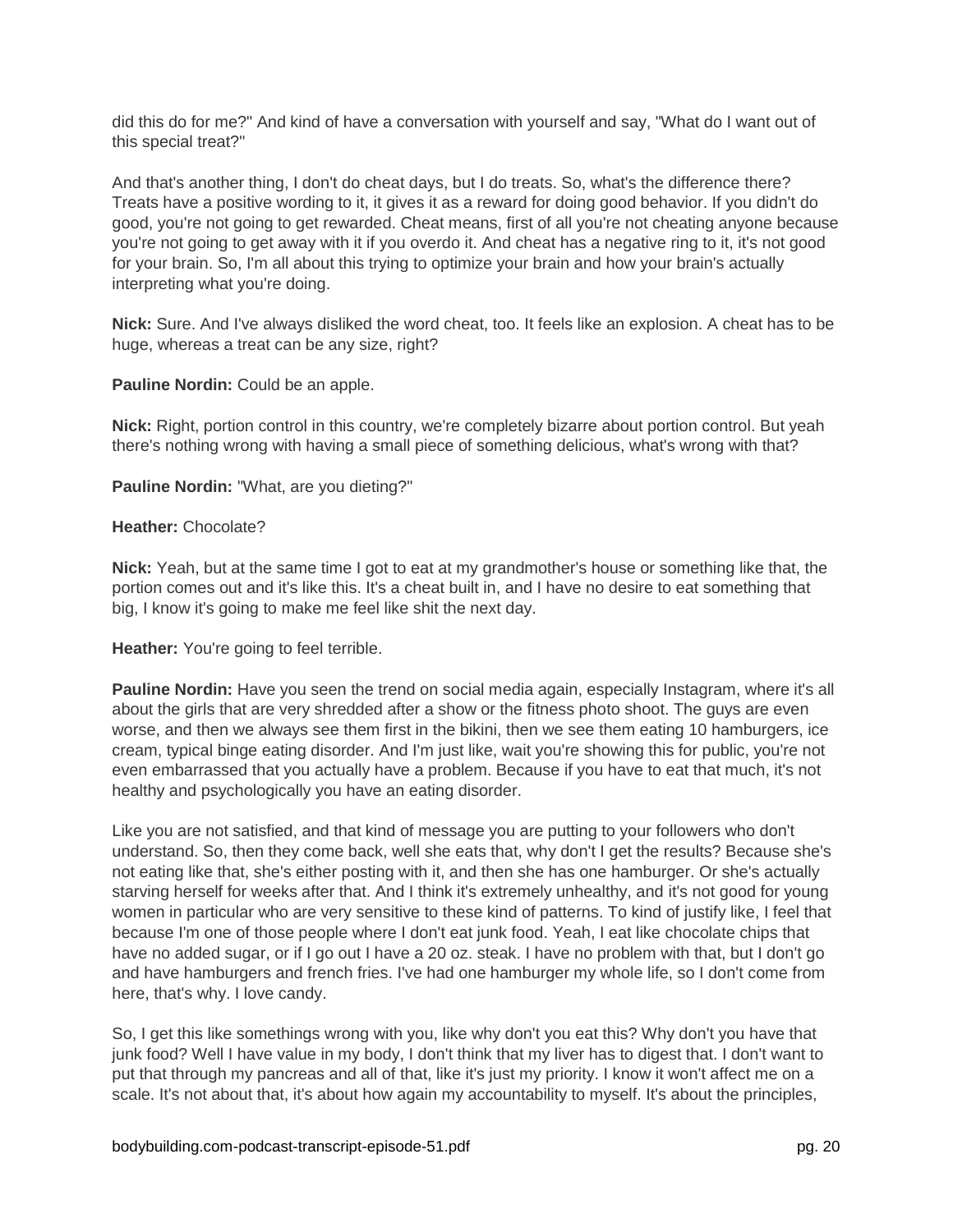did this do for me?" And kind of have a conversation with yourself and say, "What do I want out of this special treat?"

And that's another thing, I don't do cheat days, but I do treats. So, what's the difference there? Treats have a positive wording to it, it gives it as a reward for doing good behavior. If you didn't do good, you're not going to get rewarded. Cheat means, first of all you're not cheating anyone because you're not going to get away with it if you overdo it. And cheat has a negative ring to it, it's not good for your brain. So, I'm all about this trying to optimize your brain and how your brain's actually interpreting what you're doing.

**Nick:** Sure. And I've always disliked the word cheat, too. It feels like an explosion. A cheat has to be huge, whereas a treat can be any size, right?

**Pauline Nordin:** Could be an apple.

**Nick:** Right, portion control in this country, we're completely bizarre about portion control. But yeah there's nothing wrong with having a small piece of something delicious, what's wrong with that?

**Pauline Nordin:** "What, are you dieting?"

#### **Heather:** Chocolate?

**Nick:** Yeah, but at the same time I got to eat at my grandmother's house or something like that, the portion comes out and it's like this. It's a cheat built in, and I have no desire to eat something that big, I know it's going to make me feel like shit the next day.

**Heather:** You're going to feel terrible.

**Pauline Nordin:** Have you seen the trend on social media again, especially Instagram, where it's all about the girls that are very shredded after a show or the fitness photo shoot. The guys are even worse, and then we always see them first in the bikini, then we see them eating 10 hamburgers, ice cream, typical binge eating disorder. And I'm just like, wait you're showing this for public, you're not even embarrassed that you actually have a problem. Because if you have to eat that much, it's not healthy and psychologically you have an eating disorder.

Like you are not satisfied, and that kind of message you are putting to your followers who don't understand. So, then they come back, well she eats that, why don't I get the results? Because she's not eating like that, she's either posting with it, and then she has one hamburger. Or she's actually starving herself for weeks after that. And I think it's extremely unhealthy, and it's not good for young women in particular who are very sensitive to these kind of patterns. To kind of justify like, I feel that because I'm one of those people where I don't eat junk food. Yeah, I eat like chocolate chips that have no added sugar, or if I go out I have a 20 oz. steak. I have no problem with that, but I don't go and have hamburgers and french fries. I've had one hamburger my whole life, so I don't come from here, that's why. I love candy.

So, I get this like somethings wrong with you, like why don't you eat this? Why don't you have that junk food? Well I have value in my body, I don't think that my liver has to digest that. I don't want to put that through my pancreas and all of that, like it's just my priority. I know it won't affect me on a scale. It's not about that, it's about how again my accountability to myself. It's about the principles,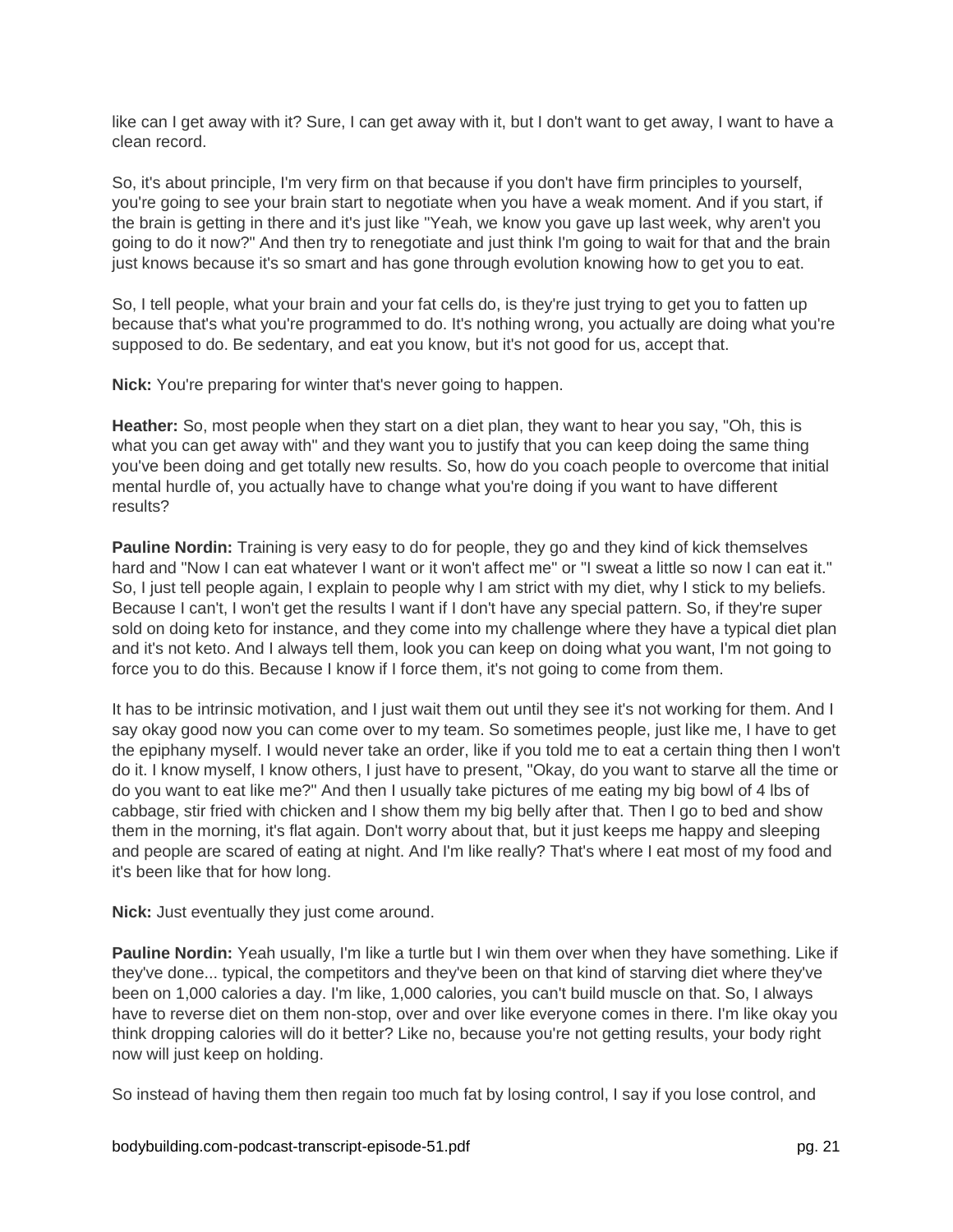like can I get away with it? Sure, I can get away with it, but I don't want to get away, I want to have a clean record.

So, it's about principle, I'm very firm on that because if you don't have firm principles to yourself, you're going to see your brain start to negotiate when you have a weak moment. And if you start, if the brain is getting in there and it's just like "Yeah, we know you gave up last week, why aren't you going to do it now?" And then try to renegotiate and just think I'm going to wait for that and the brain just knows because it's so smart and has gone through evolution knowing how to get you to eat.

So, I tell people, what your brain and your fat cells do, is they're just trying to get you to fatten up because that's what you're programmed to do. It's nothing wrong, you actually are doing what you're supposed to do. Be sedentary, and eat you know, but it's not good for us, accept that.

**Nick:** You're preparing for winter that's never going to happen.

**Heather:** So, most people when they start on a diet plan, they want to hear you say, "Oh, this is what you can get away with" and they want you to justify that you can keep doing the same thing you've been doing and get totally new results. So, how do you coach people to overcome that initial mental hurdle of, you actually have to change what you're doing if you want to have different results?

**Pauline Nordin:** Training is very easy to do for people, they go and they kind of kick themselves hard and "Now I can eat whatever I want or it won't affect me" or "I sweat a little so now I can eat it." So, I just tell people again, I explain to people why I am strict with my diet, why I stick to my beliefs. Because I can't, I won't get the results I want if I don't have any special pattern. So, if they're super sold on doing keto for instance, and they come into my challenge where they have a typical diet plan and it's not keto. And I always tell them, look you can keep on doing what you want, I'm not going to force you to do this. Because I know if I force them, it's not going to come from them.

It has to be intrinsic motivation, and I just wait them out until they see it's not working for them. And I say okay good now you can come over to my team. So sometimes people, just like me, I have to get the epiphany myself. I would never take an order, like if you told me to eat a certain thing then I won't do it. I know myself, I know others, I just have to present, "Okay, do you want to starve all the time or do you want to eat like me?" And then I usually take pictures of me eating my big bowl of 4 lbs of cabbage, stir fried with chicken and I show them my big belly after that. Then I go to bed and show them in the morning, it's flat again. Don't worry about that, but it just keeps me happy and sleeping and people are scared of eating at night. And I'm like really? That's where I eat most of my food and it's been like that for how long.

**Nick:** Just eventually they just come around.

**Pauline Nordin:** Yeah usually, I'm like a turtle but I win them over when they have something. Like if they've done... typical, the competitors and they've been on that kind of starving diet where they've been on 1,000 calories a day. I'm like, 1,000 calories, you can't build muscle on that. So, I always have to reverse diet on them non-stop, over and over like everyone comes in there. I'm like okay you think dropping calories will do it better? Like no, because you're not getting results, your body right now will just keep on holding.

So instead of having them then regain too much fat by losing control, I say if you lose control, and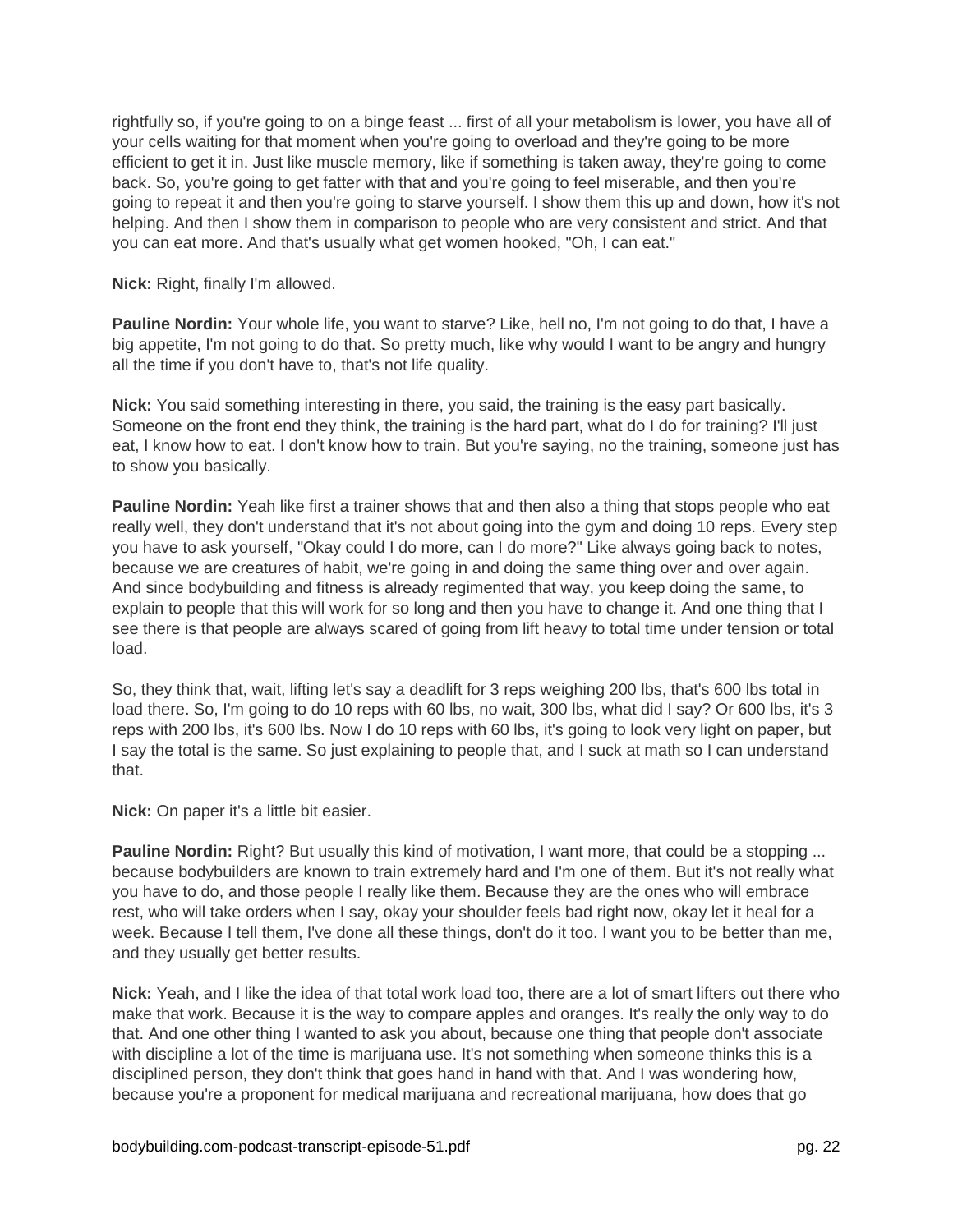rightfully so, if you're going to on a binge feast ... first of all your metabolism is lower, you have all of your cells waiting for that moment when you're going to overload and they're going to be more efficient to get it in. Just like muscle memory, like if something is taken away, they're going to come back. So, you're going to get fatter with that and you're going to feel miserable, and then you're going to repeat it and then you're going to starve yourself. I show them this up and down, how it's not helping. And then I show them in comparison to people who are very consistent and strict. And that you can eat more. And that's usually what get women hooked, "Oh, I can eat."

**Nick:** Right, finally I'm allowed.

**Pauline Nordin:** Your whole life, you want to starve? Like, hell no, I'm not going to do that, I have a big appetite, I'm not going to do that. So pretty much, like why would I want to be angry and hungry all the time if you don't have to, that's not life quality.

**Nick:** You said something interesting in there, you said, the training is the easy part basically. Someone on the front end they think, the training is the hard part, what do I do for training? I'll just eat, I know how to eat. I don't know how to train. But you're saying, no the training, someone just has to show you basically.

**Pauline Nordin:** Yeah like first a trainer shows that and then also a thing that stops people who eat really well, they don't understand that it's not about going into the gym and doing 10 reps. Every step you have to ask yourself, "Okay could I do more, can I do more?" Like always going back to notes, because we are creatures of habit, we're going in and doing the same thing over and over again. And since bodybuilding and fitness is already regimented that way, you keep doing the same, to explain to people that this will work for so long and then you have to change it. And one thing that I see there is that people are always scared of going from lift heavy to total time under tension or total load.

So, they think that, wait, lifting let's say a deadlift for 3 reps weighing 200 lbs, that's 600 lbs total in load there. So, I'm going to do 10 reps with 60 lbs, no wait, 300 lbs, what did I say? Or 600 lbs, it's 3 reps with 200 lbs, it's 600 lbs. Now I do 10 reps with 60 lbs, it's going to look very light on paper, but I say the total is the same. So just explaining to people that, and I suck at math so I can understand that.

**Nick:** On paper it's a little bit easier.

**Pauline Nordin:** Right? But usually this kind of motivation, I want more, that could be a stopping ... because bodybuilders are known to train extremely hard and I'm one of them. But it's not really what you have to do, and those people I really like them. Because they are the ones who will embrace rest, who will take orders when I say, okay your shoulder feels bad right now, okay let it heal for a week. Because I tell them, I've done all these things, don't do it too. I want you to be better than me, and they usually get better results.

**Nick:** Yeah, and I like the idea of that total work load too, there are a lot of smart lifters out there who make that work. Because it is the way to compare apples and oranges. It's really the only way to do that. And one other thing I wanted to ask you about, because one thing that people don't associate with discipline a lot of the time is marijuana use. It's not something when someone thinks this is a disciplined person, they don't think that goes hand in hand with that. And I was wondering how, because you're a proponent for medical marijuana and recreational marijuana, how does that go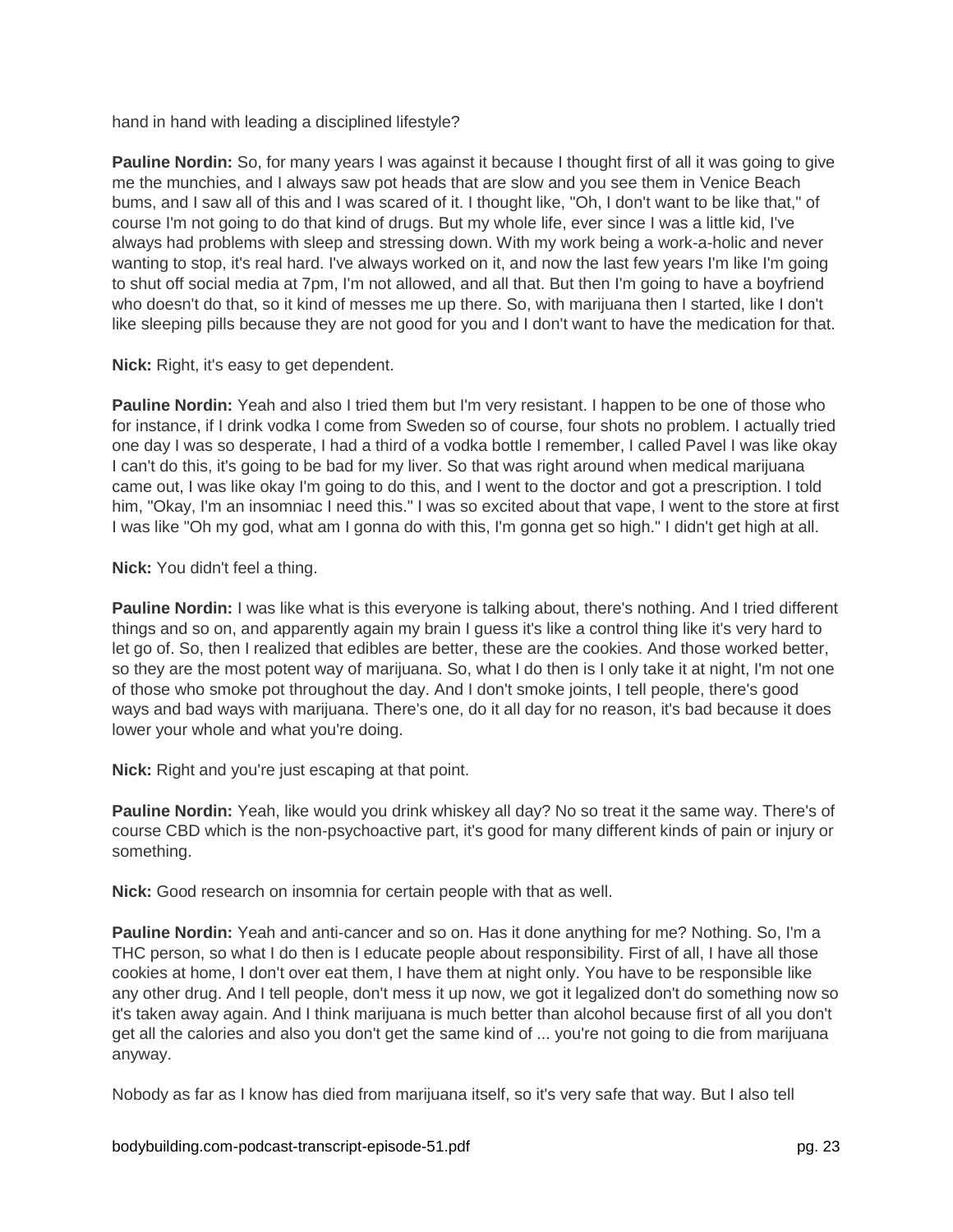hand in hand with leading a disciplined lifestyle?

**Pauline Nordin:** So, for many years I was against it because I thought first of all it was going to give me the munchies, and I always saw pot heads that are slow and you see them in Venice Beach bums, and I saw all of this and I was scared of it. I thought like, "Oh, I don't want to be like that," of course I'm not going to do that kind of drugs. But my whole life, ever since I was a little kid, I've always had problems with sleep and stressing down. With my work being a work-a-holic and never wanting to stop, it's real hard. I've always worked on it, and now the last few years I'm like I'm going to shut off social media at 7pm, I'm not allowed, and all that. But then I'm going to have a boyfriend who doesn't do that, so it kind of messes me up there. So, with marijuana then I started, like I don't like sleeping pills because they are not good for you and I don't want to have the medication for that.

**Nick:** Right, it's easy to get dependent.

**Pauline Nordin:** Yeah and also I tried them but I'm very resistant. I happen to be one of those who for instance, if I drink vodka I come from Sweden so of course, four shots no problem. I actually tried one day I was so desperate, I had a third of a vodka bottle I remember, I called Pavel I was like okay I can't do this, it's going to be bad for my liver. So that was right around when medical marijuana came out, I was like okay I'm going to do this, and I went to the doctor and got a prescription. I told him, "Okay, I'm an insomniac I need this." I was so excited about that vape, I went to the store at first I was like "Oh my god, what am I gonna do with this, I'm gonna get so high." I didn't get high at all.

**Nick:** You didn't feel a thing.

**Pauline Nordin:** I was like what is this everyone is talking about, there's nothing. And I tried different things and so on, and apparently again my brain I guess it's like a control thing like it's very hard to let go of. So, then I realized that edibles are better, these are the cookies. And those worked better, so they are the most potent way of marijuana. So, what I do then is I only take it at night, I'm not one of those who smoke pot throughout the day. And I don't smoke joints, I tell people, there's good ways and bad ways with marijuana. There's one, do it all day for no reason, it's bad because it does lower your whole and what you're doing.

**Nick:** Right and you're just escaping at that point.

**Pauline Nordin:** Yeah, like would you drink whiskey all day? No so treat it the same way. There's of course CBD which is the non-psychoactive part, it's good for many different kinds of pain or injury or something.

**Nick:** Good research on insomnia for certain people with that as well.

**Pauline Nordin:** Yeah and anti-cancer and so on. Has it done anything for me? Nothing. So, I'm a THC person, so what I do then is I educate people about responsibility. First of all, I have all those cookies at home, I don't over eat them, I have them at night only. You have to be responsible like any other drug. And I tell people, don't mess it up now, we got it legalized don't do something now so it's taken away again. And I think marijuana is much better than alcohol because first of all you don't get all the calories and also you don't get the same kind of ... you're not going to die from marijuana anyway.

Nobody as far as I know has died from marijuana itself, so it's very safe that way. But I also tell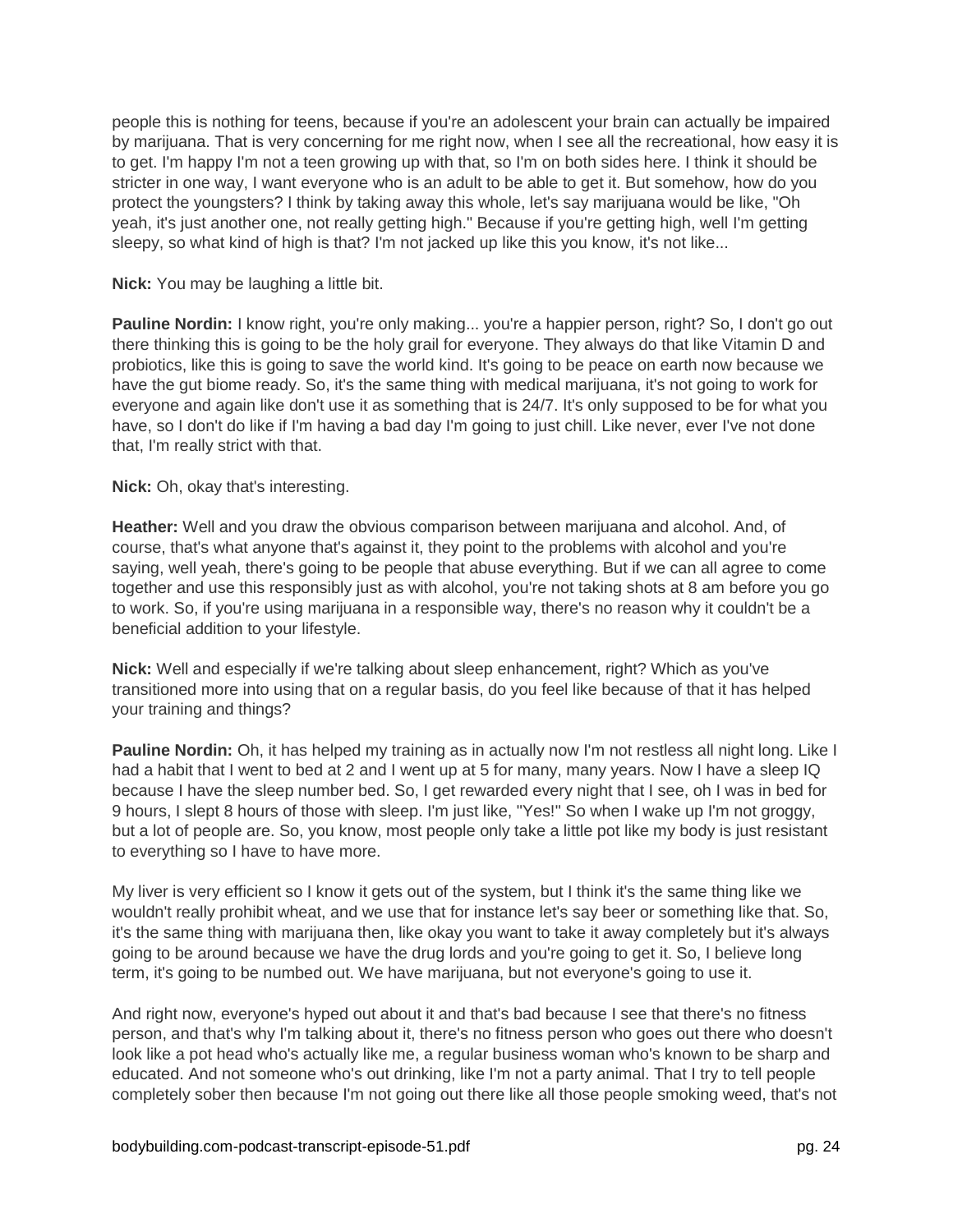people this is nothing for teens, because if you're an adolescent your brain can actually be impaired by marijuana. That is very concerning for me right now, when I see all the recreational, how easy it is to get. I'm happy I'm not a teen growing up with that, so I'm on both sides here. I think it should be stricter in one way, I want everyone who is an adult to be able to get it. But somehow, how do you protect the youngsters? I think by taking away this whole, let's say marijuana would be like, "Oh yeah, it's just another one, not really getting high." Because if you're getting high, well I'm getting sleepy, so what kind of high is that? I'm not jacked up like this you know, it's not like...

**Nick:** You may be laughing a little bit.

Pauline Nordin: I know right, you're only making... you're a happier person, right? So, I don't go out there thinking this is going to be the holy grail for everyone. They always do that like Vitamin D and probiotics, like this is going to save the world kind. It's going to be peace on earth now because we have the gut biome ready. So, it's the same thing with medical marijuana, it's not going to work for everyone and again like don't use it as something that is 24/7. It's only supposed to be for what you have, so I don't do like if I'm having a bad day I'm going to just chill. Like never, ever I've not done that, I'm really strict with that.

**Nick:** Oh, okay that's interesting.

**Heather:** Well and you draw the obvious comparison between marijuana and alcohol. And, of course, that's what anyone that's against it, they point to the problems with alcohol and you're saying, well yeah, there's going to be people that abuse everything. But if we can all agree to come together and use this responsibly just as with alcohol, you're not taking shots at 8 am before you go to work. So, if you're using marijuana in a responsible way, there's no reason why it couldn't be a beneficial addition to your lifestyle.

**Nick:** Well and especially if we're talking about sleep enhancement, right? Which as you've transitioned more into using that on a regular basis, do you feel like because of that it has helped your training and things?

**Pauline Nordin:** Oh, it has helped my training as in actually now I'm not restless all night long. Like I had a habit that I went to bed at 2 and I went up at 5 for many, many years. Now I have a sleep IQ because I have the sleep number bed. So, I get rewarded every night that I see, oh I was in bed for 9 hours, I slept 8 hours of those with sleep. I'm just like, "Yes!" So when I wake up I'm not groggy, but a lot of people are. So, you know, most people only take a little pot like my body is just resistant to everything so I have to have more.

My liver is very efficient so I know it gets out of the system, but I think it's the same thing like we wouldn't really prohibit wheat, and we use that for instance let's say beer or something like that. So, it's the same thing with marijuana then, like okay you want to take it away completely but it's always going to be around because we have the drug lords and you're going to get it. So, I believe long term, it's going to be numbed out. We have marijuana, but not everyone's going to use it.

And right now, everyone's hyped out about it and that's bad because I see that there's no fitness person, and that's why I'm talking about it, there's no fitness person who goes out there who doesn't look like a pot head who's actually like me, a regular business woman who's known to be sharp and educated. And not someone who's out drinking, like I'm not a party animal. That I try to tell people completely sober then because I'm not going out there like all those people smoking weed, that's not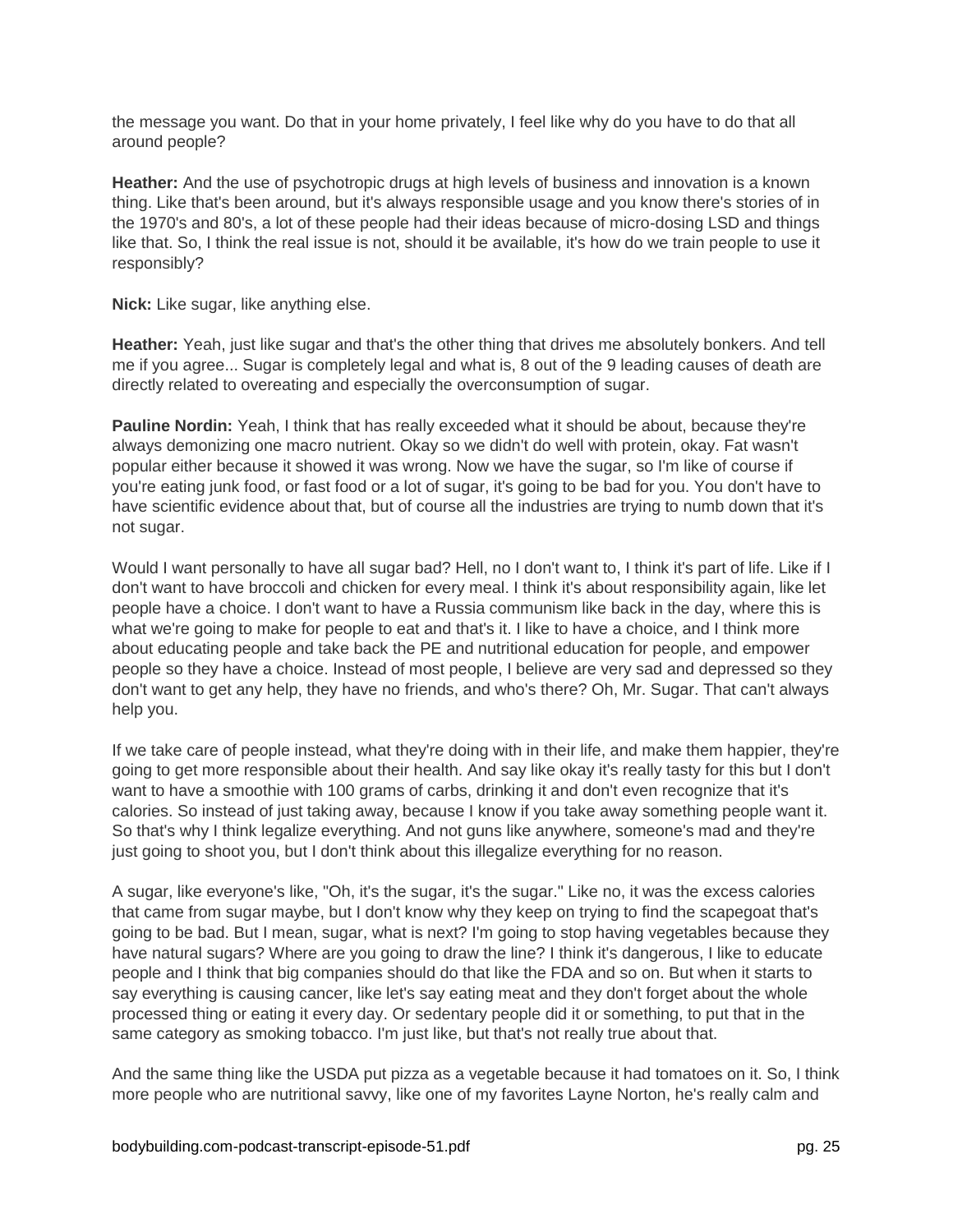the message you want. Do that in your home privately, I feel like why do you have to do that all around people?

**Heather:** And the use of psychotropic drugs at high levels of business and innovation is a known thing. Like that's been around, but it's always responsible usage and you know there's stories of in the 1970's and 80's, a lot of these people had their ideas because of micro-dosing LSD and things like that. So, I think the real issue is not, should it be available, it's how do we train people to use it responsibly?

**Nick:** Like sugar, like anything else.

**Heather:** Yeah, just like sugar and that's the other thing that drives me absolutely bonkers. And tell me if you agree... Sugar is completely legal and what is, 8 out of the 9 leading causes of death are directly related to overeating and especially the overconsumption of sugar.

**Pauline Nordin:** Yeah, I think that has really exceeded what it should be about, because they're always demonizing one macro nutrient. Okay so we didn't do well with protein, okay. Fat wasn't popular either because it showed it was wrong. Now we have the sugar, so I'm like of course if you're eating junk food, or fast food or a lot of sugar, it's going to be bad for you. You don't have to have scientific evidence about that, but of course all the industries are trying to numb down that it's not sugar.

Would I want personally to have all sugar bad? Hell, no I don't want to, I think it's part of life. Like if I don't want to have broccoli and chicken for every meal. I think it's about responsibility again, like let people have a choice. I don't want to have a Russia communism like back in the day, where this is what we're going to make for people to eat and that's it. I like to have a choice, and I think more about educating people and take back the PE and nutritional education for people, and empower people so they have a choice. Instead of most people, I believe are very sad and depressed so they don't want to get any help, they have no friends, and who's there? Oh, Mr. Sugar. That can't always help you.

If we take care of people instead, what they're doing with in their life, and make them happier, they're going to get more responsible about their health. And say like okay it's really tasty for this but I don't want to have a smoothie with 100 grams of carbs, drinking it and don't even recognize that it's calories. So instead of just taking away, because I know if you take away something people want it. So that's why I think legalize everything. And not guns like anywhere, someone's mad and they're just going to shoot you, but I don't think about this illegalize everything for no reason.

A sugar, like everyone's like, "Oh, it's the sugar, it's the sugar." Like no, it was the excess calories that came from sugar maybe, but I don't know why they keep on trying to find the scapegoat that's going to be bad. But I mean, sugar, what is next? I'm going to stop having vegetables because they have natural sugars? Where are you going to draw the line? I think it's dangerous, I like to educate people and I think that big companies should do that like the FDA and so on. But when it starts to say everything is causing cancer, like let's say eating meat and they don't forget about the whole processed thing or eating it every day. Or sedentary people did it or something, to put that in the same category as smoking tobacco. I'm just like, but that's not really true about that.

And the same thing like the USDA put pizza as a vegetable because it had tomatoes on it. So, I think more people who are nutritional savvy, like one of my favorites Layne Norton, he's really calm and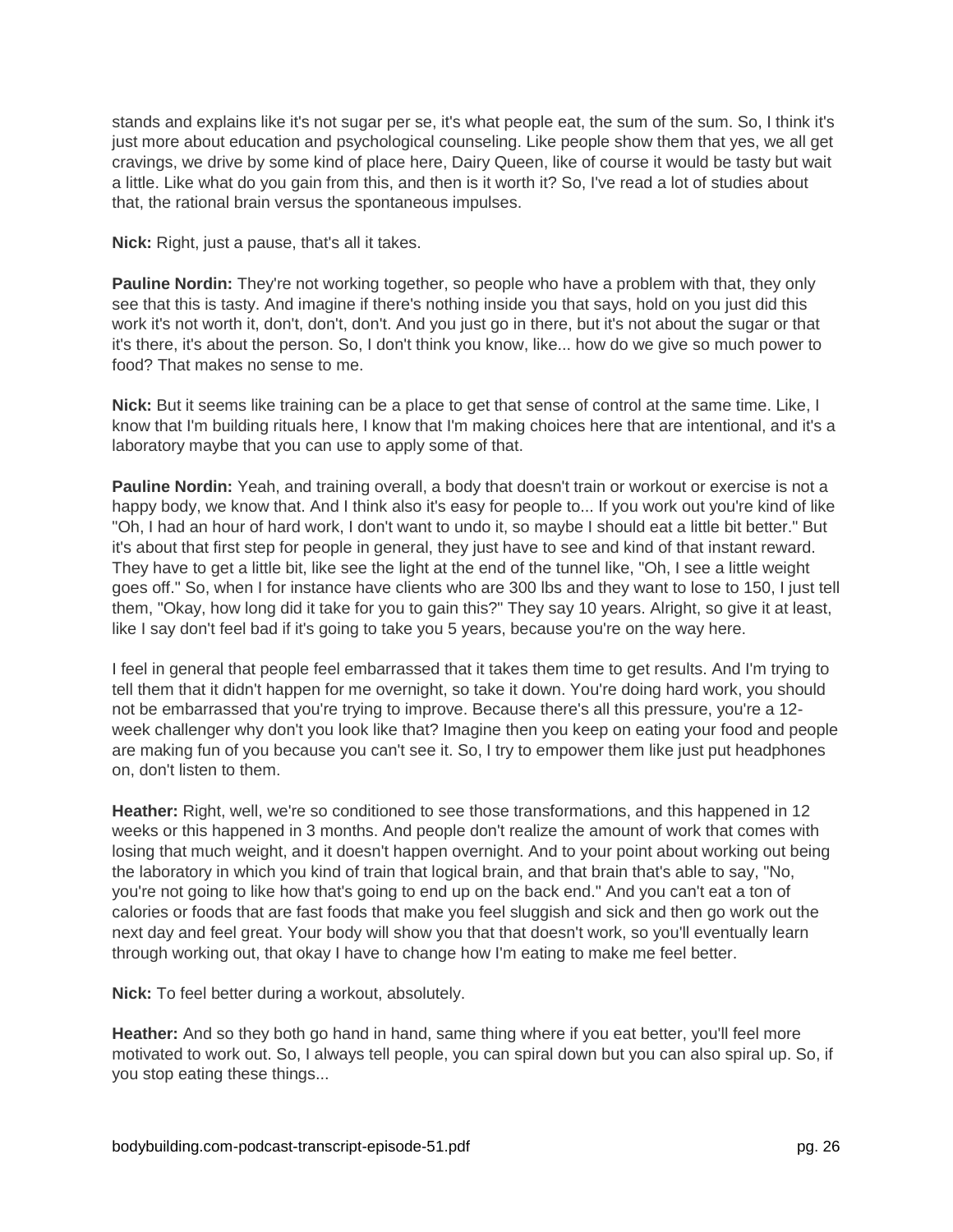stands and explains like it's not sugar per se, it's what people eat, the sum of the sum. So, I think it's just more about education and psychological counseling. Like people show them that yes, we all get cravings, we drive by some kind of place here, Dairy Queen, like of course it would be tasty but wait a little. Like what do you gain from this, and then is it worth it? So, I've read a lot of studies about that, the rational brain versus the spontaneous impulses.

**Nick:** Right, just a pause, that's all it takes.

**Pauline Nordin:** They're not working together, so people who have a problem with that, they only see that this is tasty. And imagine if there's nothing inside you that says, hold on you just did this work it's not worth it, don't, don't, don't. And you just go in there, but it's not about the sugar or that it's there, it's about the person. So, I don't think you know, like... how do we give so much power to food? That makes no sense to me.

**Nick:** But it seems like training can be a place to get that sense of control at the same time. Like, I know that I'm building rituals here, I know that I'm making choices here that are intentional, and it's a laboratory maybe that you can use to apply some of that.

**Pauline Nordin:** Yeah, and training overall, a body that doesn't train or workout or exercise is not a happy body, we know that. And I think also it's easy for people to... If you work out you're kind of like "Oh, I had an hour of hard work, I don't want to undo it, so maybe I should eat a little bit better." But it's about that first step for people in general, they just have to see and kind of that instant reward. They have to get a little bit, like see the light at the end of the tunnel like, "Oh, I see a little weight goes off." So, when I for instance have clients who are 300 lbs and they want to lose to 150, I just tell them, "Okay, how long did it take for you to gain this?" They say 10 years. Alright, so give it at least, like I say don't feel bad if it's going to take you 5 years, because you're on the way here.

I feel in general that people feel embarrassed that it takes them time to get results. And I'm trying to tell them that it didn't happen for me overnight, so take it down. You're doing hard work, you should not be embarrassed that you're trying to improve. Because there's all this pressure, you're a 12 week challenger why don't you look like that? Imagine then you keep on eating your food and people are making fun of you because you can't see it. So, I try to empower them like just put headphones on, don't listen to them.

**Heather:** Right, well, we're so conditioned to see those transformations, and this happened in 12 weeks or this happened in 3 months. And people don't realize the amount of work that comes with losing that much weight, and it doesn't happen overnight. And to your point about working out being the laboratory in which you kind of train that logical brain, and that brain that's able to say, "No, you're not going to like how that's going to end up on the back end." And you can't eat a ton of calories or foods that are fast foods that make you feel sluggish and sick and then go work out the next day and feel great. Your body will show you that that doesn't work, so you'll eventually learn through working out, that okay I have to change how I'm eating to make me feel better.

**Nick:** To feel better during a workout, absolutely.

**Heather:** And so they both go hand in hand, same thing where if you eat better, you'll feel more motivated to work out. So, I always tell people, you can spiral down but you can also spiral up. So, if you stop eating these things...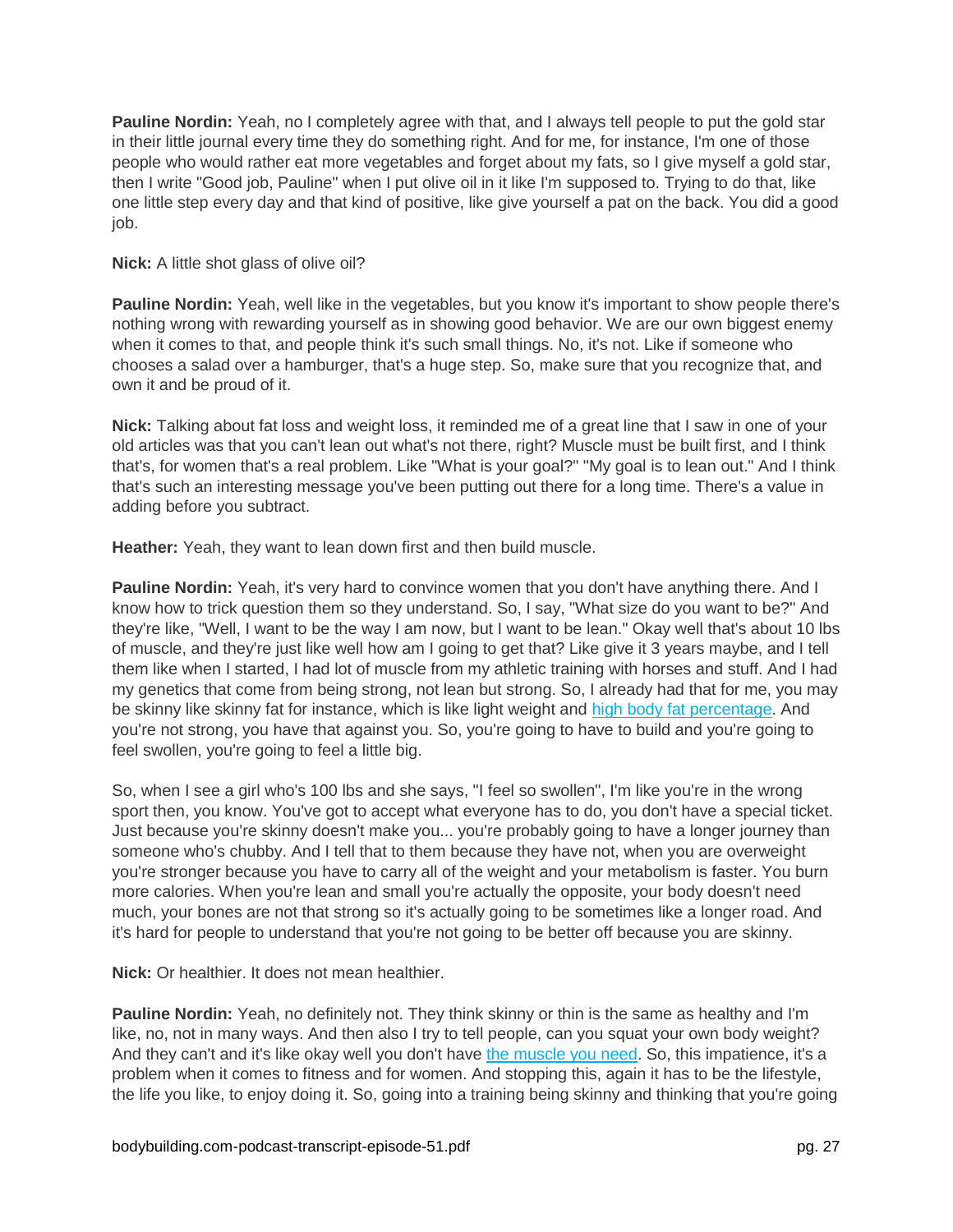**Pauline Nordin:** Yeah, no I completely agree with that, and I always tell people to put the gold star in their little journal every time they do something right. And for me, for instance, I'm one of those people who would rather eat more vegetables and forget about my fats, so I give myself a gold star, then I write "Good job, Pauline" when I put olive oil in it like I'm supposed to. Trying to do that, like one little step every day and that kind of positive, like give yourself a pat on the back. You did a good job.

#### **Nick:** A little shot glass of olive oil?

**Pauline Nordin:** Yeah, well like in the vegetables, but you know it's important to show people there's nothing wrong with rewarding yourself as in showing good behavior. We are our own biggest enemy when it comes to that, and people think it's such small things. No, it's not. Like if someone who chooses a salad over a hamburger, that's a huge step. So, make sure that you recognize that, and own it and be proud of it.

**Nick:** Talking about fat loss and weight loss, it reminded me of a great line that I saw in one of your old articles was that you can't lean out what's not there, right? Muscle must be built first, and I think that's, for women that's a real problem. Like "What is your goal?" "My goal is to lean out." And I think that's such an interesting message you've been putting out there for a long time. There's a value in adding before you subtract.

**Heather:** Yeah, they want to lean down first and then build muscle.

**Pauline Nordin:** Yeah, it's very hard to convince women that you don't have anything there. And I know how to trick question them so they understand. So, I say, "What size do you want to be?" And they're like, "Well, I want to be the way I am now, but I want to be lean." Okay well that's about 10 lbs of muscle, and they're just like well how am I going to get that? Like give it 3 years maybe, and I tell them like when I started, I had lot of muscle from my athletic training with horses and stuff. And I had my genetics that come from being strong, not lean but strong. So, I already had that for me, you may be skinny like skinny fat for instance, which is like light weight and [high body fat percentage.](https://www.bodybuilding.com/content/6-ways-to-reduce-body-fat-while-increasing-muscle.html) And you're not strong, you have that against you. So, you're going to have to build and you're going to feel swollen, you're going to feel a little big.

So, when I see a girl who's 100 lbs and she says, "I feel so swollen", I'm like you're in the wrong sport then, you know. You've got to accept what everyone has to do, you don't have a special ticket. Just because you're skinny doesn't make you... you're probably going to have a longer journey than someone who's chubby. And I tell that to them because they have not, when you are overweight you're stronger because you have to carry all of the weight and your metabolism is faster. You burn more calories. When you're lean and small you're actually the opposite, your body doesn't need much, your bones are not that strong so it's actually going to be sometimes like a longer road. And it's hard for people to understand that you're not going to be better off because you are skinny.

**Nick:** Or healthier. It does not mean healthier.

**Pauline Nordin:** Yeah, no definitely not. They think skinny or thin is the same as healthy and I'm like, no, not in many ways. And then also I try to tell people, can you squat your own body weight? And they can't and it's like okay well you don't have [the muscle you need.](https://www.bodybuilding.com/content/ladies-make-2016-the-year-of-muscle.html) So, this impatience, it's a problem when it comes to fitness and for women. And stopping this, again it has to be the lifestyle, the life you like, to enjoy doing it. So, going into a training being skinny and thinking that you're going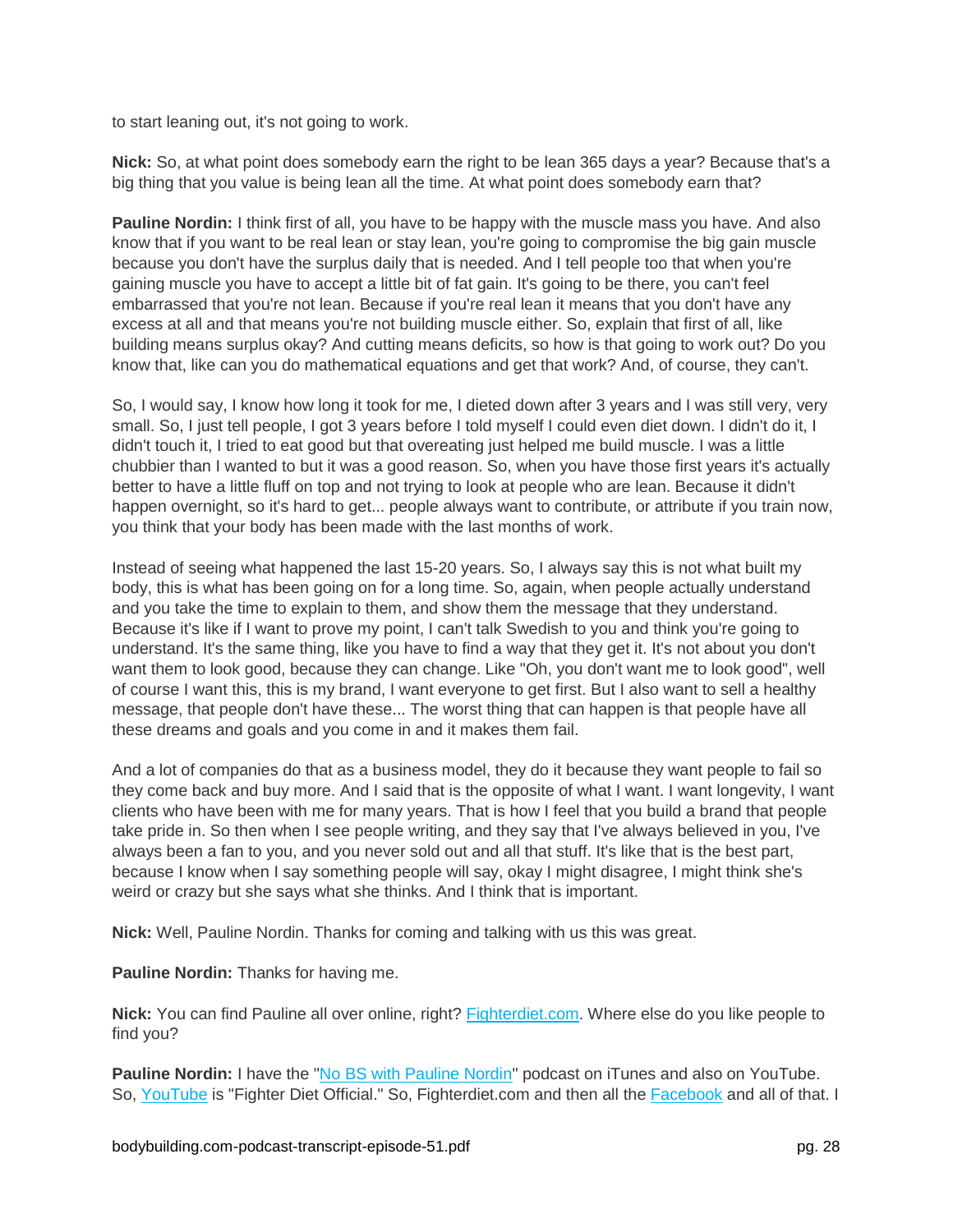to start leaning out, it's not going to work.

**Nick:** So, at what point does somebody earn the right to be lean 365 days a year? Because that's a big thing that you value is being lean all the time. At what point does somebody earn that?

**Pauline Nordin:** I think first of all, you have to be happy with the muscle mass you have. And also know that if you want to be real lean or stay lean, you're going to compromise the big gain muscle because you don't have the surplus daily that is needed. And I tell people too that when you're gaining muscle you have to accept a little bit of fat gain. It's going to be there, you can't feel embarrassed that you're not lean. Because if you're real lean it means that you don't have any excess at all and that means you're not building muscle either. So, explain that first of all, like building means surplus okay? And cutting means deficits, so how is that going to work out? Do you know that, like can you do mathematical equations and get that work? And, of course, they can't.

So, I would say, I know how long it took for me, I dieted down after 3 years and I was still very, very small. So, I just tell people, I got 3 years before I told myself I could even diet down. I didn't do it, I didn't touch it, I tried to eat good but that overeating just helped me build muscle. I was a little chubbier than I wanted to but it was a good reason. So, when you have those first years it's actually better to have a little fluff on top and not trying to look at people who are lean. Because it didn't happen overnight, so it's hard to get... people always want to contribute, or attribute if you train now, you think that your body has been made with the last months of work.

Instead of seeing what happened the last 15-20 years. So, I always say this is not what built my body, this is what has been going on for a long time. So, again, when people actually understand and you take the time to explain to them, and show them the message that they understand. Because it's like if I want to prove my point, I can't talk Swedish to you and think you're going to understand. It's the same thing, like you have to find a way that they get it. It's not about you don't want them to look good, because they can change. Like "Oh, you don't want me to look good", well of course I want this, this is my brand, I want everyone to get first. But I also want to sell a healthy message, that people don't have these... The worst thing that can happen is that people have all these dreams and goals and you come in and it makes them fail.

And a lot of companies do that as a business model, they do it because they want people to fail so they come back and buy more. And I said that is the opposite of what I want. I want longevity, I want clients who have been with me for many years. That is how I feel that you build a brand that people take pride in. So then when I see people writing, and they say that I've always believed in you, I've always been a fan to you, and you never sold out and all that stuff. It's like that is the best part, because I know when I say something people will say, okay I might disagree, I might think she's weird or crazy but she says what she thinks. And I think that is important.

**Nick:** Well, Pauline Nordin. Thanks for coming and talking with us this was great.

**Pauline Nordin:** Thanks for having me.

**Nick:** You can find Pauline all over online, right? [Fighterdiet.com.](https://fighterdiet.com/) Where else do you like people to find you?

**Pauline Nordin:** I have the ["No BS with Pauline Nordin"](http://fighterdiet.com/podcast/) podcast on iTunes and also on YouTube. So, [YouTube](https://www.youtube.com/fighterdietofficial) is "Fighter Diet Official." So, Fighterdiet.com and then all the [Facebook](https://www.facebook.com/FDfighterdiet) and all of that. I